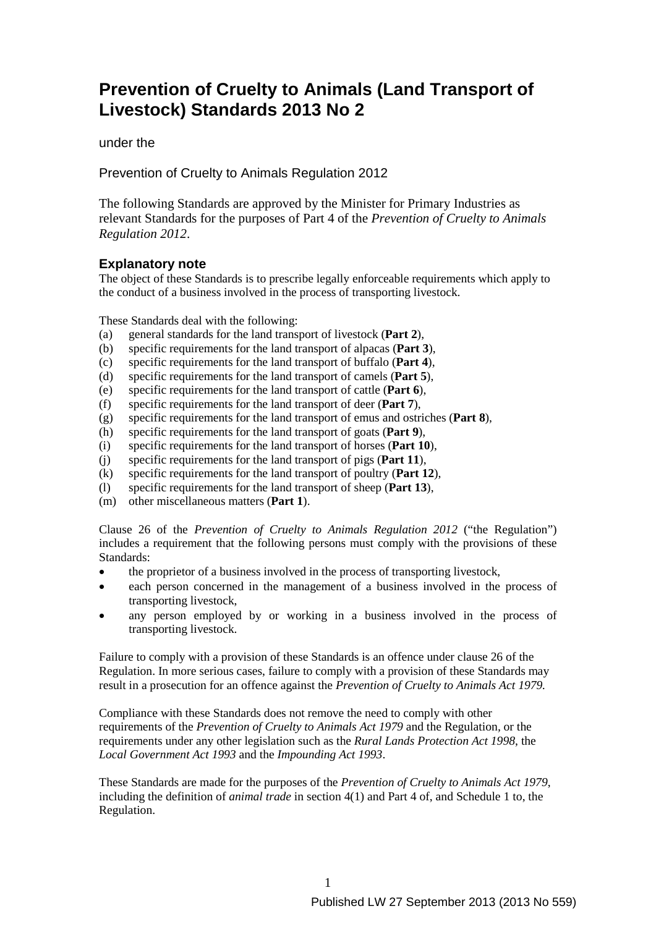# **Prevention of Cruelty to Animals (Land Transport of Livestock) Standards 2013 No 2**

under the

Prevention of Cruelty to Animals Regulation 2012

The following Standards are approved by the Minister for Primary Industries as relevant Standards for the purposes of Part 4 of the *Prevention of Cruelty to Animals Regulation 2012*.

# **Explanatory note**

The object of these Standards is to prescribe legally enforceable requirements which apply to the conduct of a business involved in the process of transporting livestock.

These Standards deal with the following:

- (a) general standards for the land transport of livestock (**Part 2**),
- (b) specific requirements for the land transport of alpacas (**Part 3**),
- (c) specific requirements for the land transport of buffalo (**Part 4**),
- (d) specific requirements for the land transport of camels (**Part 5**),
- (e) specific requirements for the land transport of cattle (**Part 6**),
- (f) specific requirements for the land transport of deer (**Part 7**),
- (g) specific requirements for the land transport of emus and ostriches (**Part 8**),
- (h) specific requirements for the land transport of goats (**Part 9**),
- (i) specific requirements for the land transport of horses (**Part 10**),
- (j) specific requirements for the land transport of pigs (**Part 11**),
- (k) specific requirements for the land transport of poultry (**Part 12**),
- (l) specific requirements for the land transport of sheep (**Part 13**),
- (m) other miscellaneous matters (**Part 1**).

Clause 26 of the *Prevention of Cruelty to Animals Regulation 2012* ("the Regulation") includes a requirement that the following persons must comply with the provisions of these Standards:

- the proprietor of a business involved in the process of transporting livestock,
- each person concerned in the management of a business involved in the process of transporting livestock,
- any person employed by or working in a business involved in the process of transporting livestock.

Failure to comply with a provision of these Standards is an offence under clause 26 of the Regulation. In more serious cases, failure to comply with a provision of these Standards may result in a prosecution for an offence against the *Prevention of Cruelty to Animals Act 1979.*

Compliance with these Standards does not remove the need to comply with other requirements of the *Prevention of Cruelty to Animals Act 1979* and the Regulation*,* or the requirements under any other legislation such as the *Rural Lands Protection Act 1998*, the *Local Government Act 1993* and the *Impounding Act 1993*.

These Standards are made for the purposes of the *Prevention of Cruelty to Animals Act 1979*, including the definition of *animal trade* in section 4(1) and Part 4 of, and Schedule 1 to, the Regulation.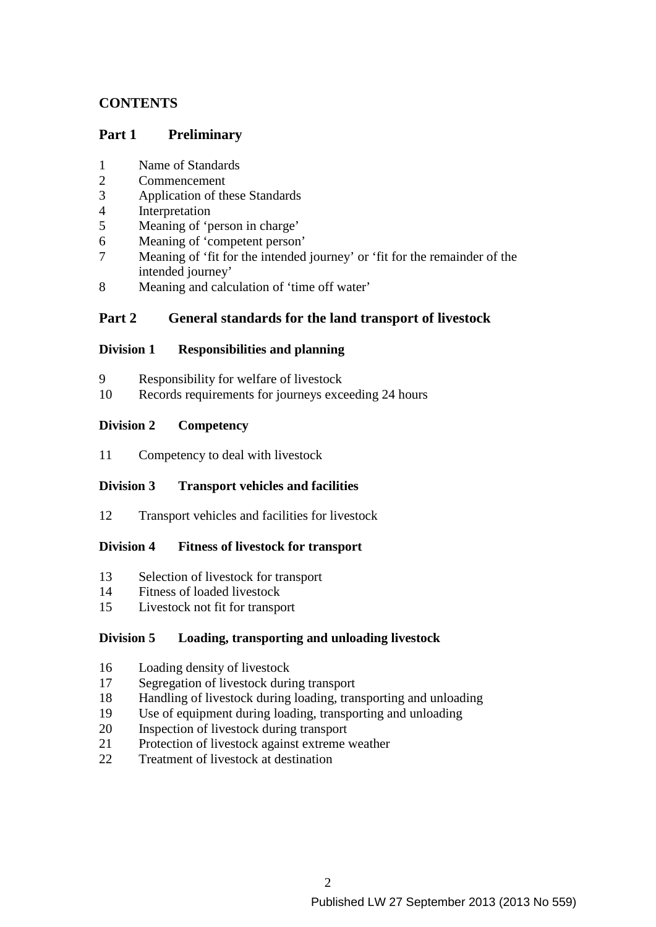# **CONTENTS**

# **Part 1 Preliminary**

- 1 Name of Standards
- 2 Commencement
- 3 Application of these Standards<br>4 Interpretation
- 4 Interpretation<br>5 Meaning of 'n
- Meaning of 'person in charge'
- 6 Meaning of 'competent person'
- 7 Meaning of 'fit for the intended journey' or 'fit for the remainder of the intended journey'
- 8 Meaning and calculation of 'time off water'

# **Part 2 General standards for the land transport of livestock**

### **Division 1 Responsibilities and planning**

- 9 Responsibility for welfare of livestock
- 10 Records requirements for journeys exceeding 24 hours

### **Division 2 Competency**

11 Competency to deal with livestock

# **Division 3 Transport vehicles and facilities**

12 Transport vehicles and facilities for livestock

### **Division 4 Fitness of livestock for transport**

- 13 Selection of livestock for transport
- 14 Fitness of loaded livestock
- 15 Livestock not fit for transport

### **Division 5 Loading, transporting and unloading livestock**

- 16 Loading density of livestock
- 17 Segregation of livestock during transport
- 18 Handling of livestock during loading, transporting and unloading
- 19 Use of equipment during loading, transporting and unloading
- 20 Inspection of livestock during transport
- 21 Protection of livestock against extreme weather
- 22 Treatment of livestock at destination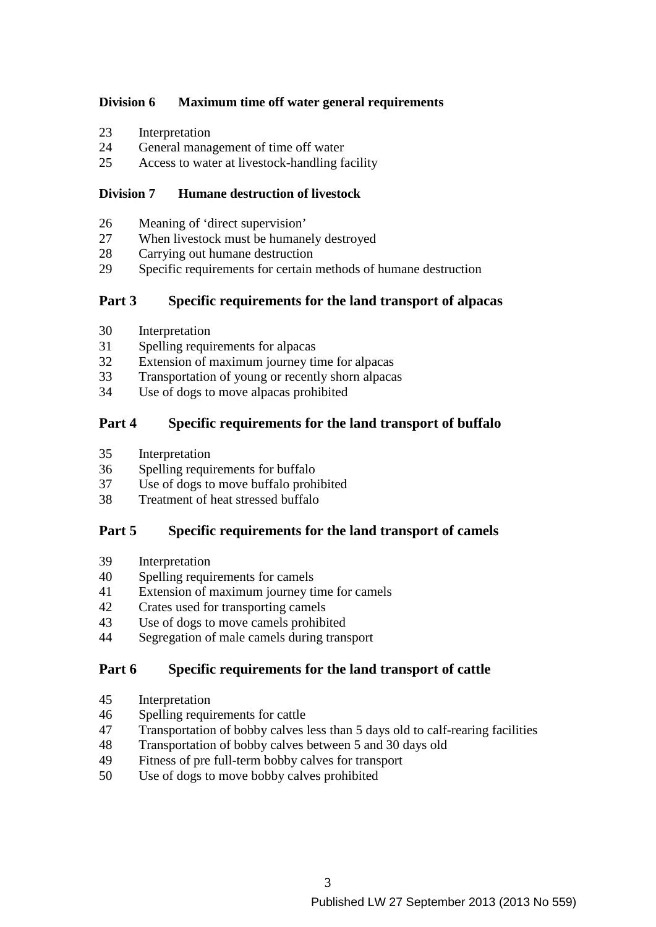# **Division 6 Maximum time off water general requirements**

- 23 Interpretation
- 24 General management of time off water
- 25 Access to water at livestock-handling facility

### **Division 7 Humane destruction of livestock**

- 26 Meaning of 'direct supervision'
- 27 When livestock must be humanely destroyed
- 28 Carrying out humane destruction
- 29 Specific requirements for certain methods of humane destruction

# **Part 3 Specific requirements for the land transport of alpacas**

- 30 Interpretation
- 31 Spelling requirements for alpacas
- 32 Extension of maximum journey time for alpacas<br>33 Transportation of young or recently shorn alpaca
- Transportation of young or recently shorn alpacas
- 34 Use of dogs to move alpacas prohibited

# **Part 4 Specific requirements for the land transport of buffalo**

- 35 Interpretation
- 36 Spelling requirements for buffalo
- 37 Use of dogs to move buffalo prohibited
- 38 Treatment of heat stressed buffalo

# **Part 5 Specific requirements for the land transport of camels**

- 39 Interpretation
- 40 Spelling requirements for camels
- 41 Extension of maximum journey time for camels
- 42 Crates used for transporting camels
- 43 Use of dogs to move camels prohibited
- 44 Segregation of male camels during transport

# **Part 6 Specific requirements for the land transport of cattle**

- 45 Interpretation
- 46 Spelling requirements for cattle
- 47 Transportation of bobby calves less than 5 days old to calf-rearing facilities
- 48 Transportation of bobby calves between 5 and 30 days old
- 49 Fitness of pre full-term bobby calves for transport
- 50 Use of dogs to move bobby calves prohibited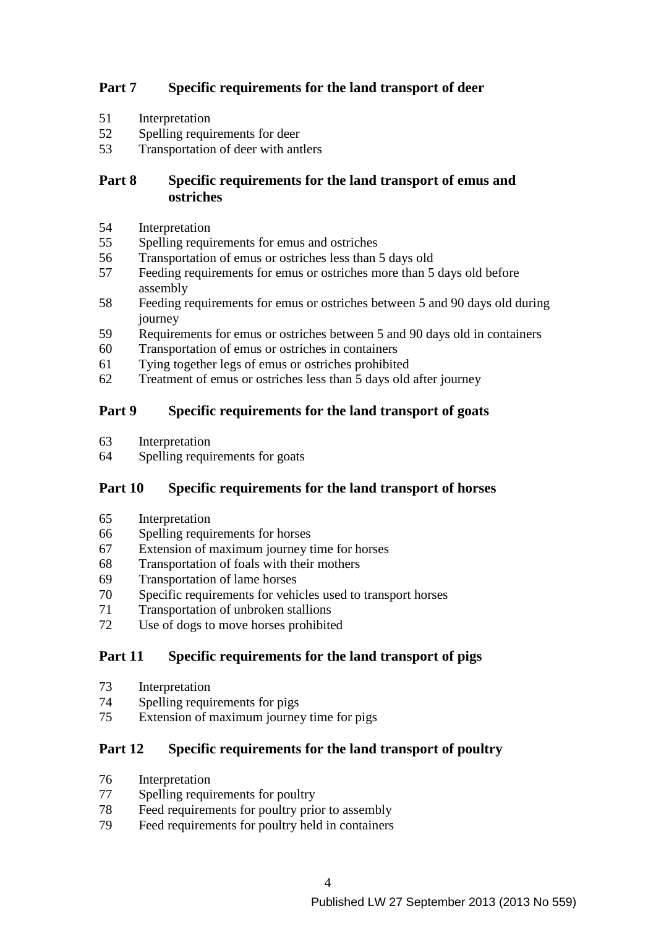# **Part 7 Specific requirements for the land transport of deer**

- 51 Interpretation
- 52 Spelling requirements for deer
- 53 Transportation of deer with antlers

# **Part 8 Specific requirements for the land transport of emus and ostriches**

- 54 Interpretation
- 55 Spelling requirements for emus and ostriches
- 56 Transportation of emus or ostriches less than 5 days old
- 57 Feeding requirements for emus or ostriches more than 5 days old before assembly
- 58 Feeding requirements for emus or ostriches between 5 and 90 days old during journey
- 59 Requirements for emus or ostriches between 5 and 90 days old in containers
- 60 Transportation of emus or ostriches in containers
- 61 Tying together legs of emus or ostriches prohibited
- 62 Treatment of emus or ostriches less than 5 days old after journey

# **Part 9 Specific requirements for the land transport of goats**

- 63 Interpretation
- 64 Spelling requirements for goats

# **Part 10 Specific requirements for the land transport of horses**

- 65 Interpretation
- 66 Spelling requirements for horses
- 67 Extension of maximum journey time for horses
- 68 Transportation of foals with their mothers
- 69 Transportation of lame horses
- 70 Specific requirements for vehicles used to transport horses
- 71 Transportation of unbroken stallions
- 72 Use of dogs to move horses prohibited

# **Part 11 Specific requirements for the land transport of pigs**

- 73 Interpretation
- 74 Spelling requirements for pigs
- 75 Extension of maximum journey time for pigs

# **Part 12 Specific requirements for the land transport of poultry**

- 76 Interpretation
- 77 Spelling requirements for poultry
- 78 Feed requirements for poultry prior to assembly
- 79 Feed requirements for poultry held in containers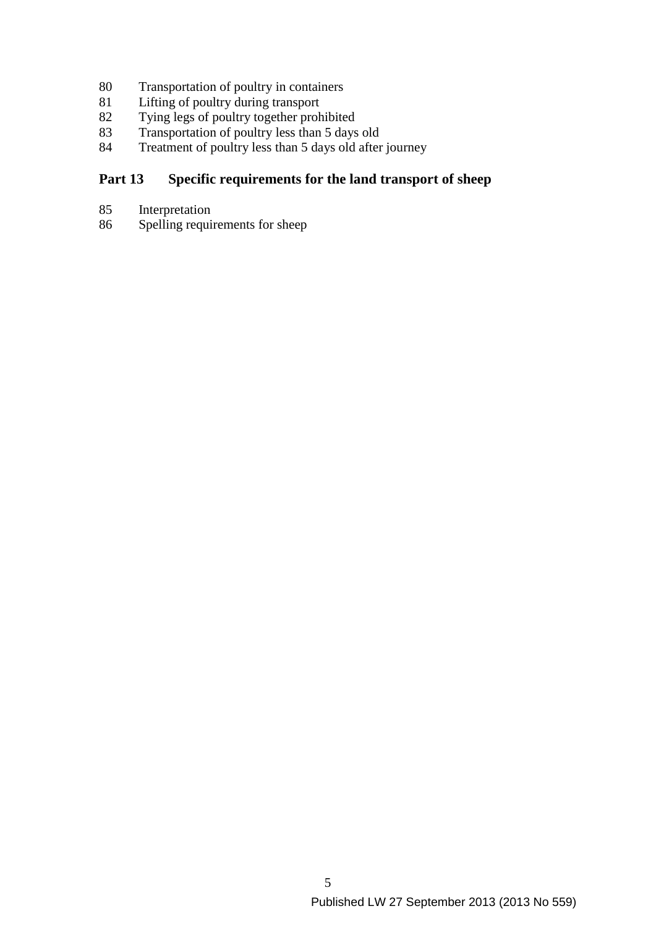- 80 Transportation of poultry in containers<br>81 Lifting of poultry during transport
- 81 Lifting of poultry during transport<br>82 Tying legs of poultry together prob
- 82 Tying legs of poultry together prohibited<br>83 Transportation of poultry less than 5 days
- 83 Transportation of poultry less than 5 days old<br>84 Treatment of poultry less than 5 days old after
- Treatment of poultry less than 5 days old after journey

# **Part 13 Specific requirements for the land transport of sheep**

- 85 Interpretation<br>86 Spelling require
- Spelling requirements for sheep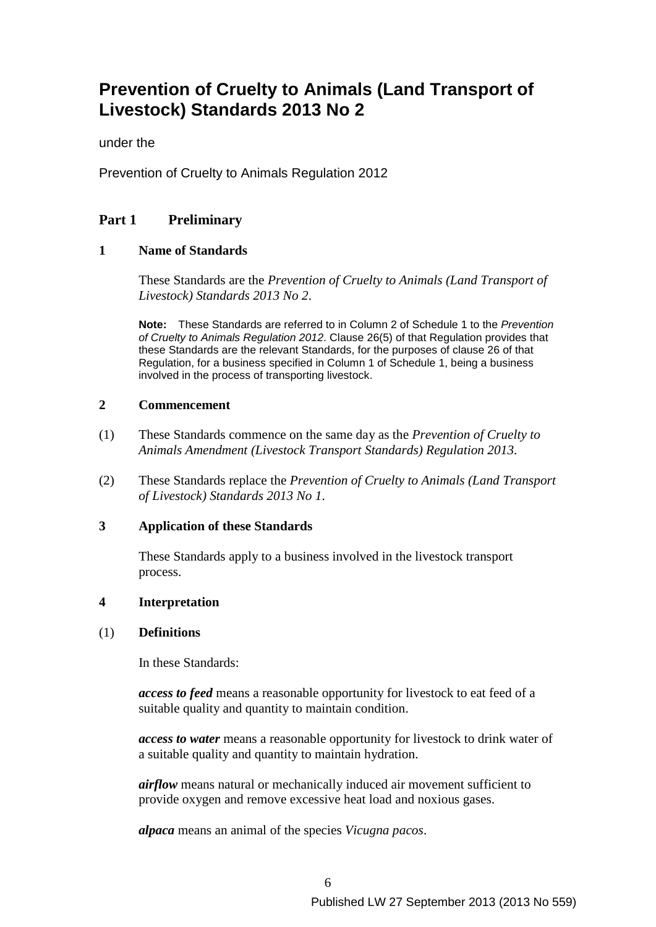# **Prevention of Cruelty to Animals (Land Transport of Livestock) Standards 2013 No 2**

under the

Prevention of Cruelty to Animals Regulation 2012

# **Part 1 Preliminary**

### **1 Name of Standards**

These Standards are the *Prevention of Cruelty to Animals (Land Transport of Livestock) Standards 2013 No 2*.

**Note:** These Standards are referred to in Column 2 of Schedule 1 to the *Prevention of Cruelty to Animals Regulation 2012*. Clause 26(5) of that Regulation provides that these Standards are the relevant Standards, for the purposes of clause 26 of that Regulation, for a business specified in Column 1 of Schedule 1, being a business involved in the process of transporting livestock.

#### **2 Commencement**

- (1) These Standards commence on the same day as the *Prevention of Cruelty to Animals Amendment (Livestock Transport Standards) Regulation 2013*.
- (2) These Standards replace the *Prevention of Cruelty to Animals (Land Transport of Livestock) Standards 2013 No 1*.

### **3 Application of these Standards**

These Standards apply to a business involved in the livestock transport process.

### **4 Interpretation**

### (1) **Definitions**

In these Standards:

*access to feed* means a reasonable opportunity for livestock to eat feed of a suitable quality and quantity to maintain condition.

*access to water* means a reasonable opportunity for livestock to drink water of a suitable quality and quantity to maintain hydration.

*airflow* means natural or mechanically induced air movement sufficient to provide oxygen and remove excessive heat load and noxious gases.

*alpaca* means an animal of the species *Vicugna pacos*.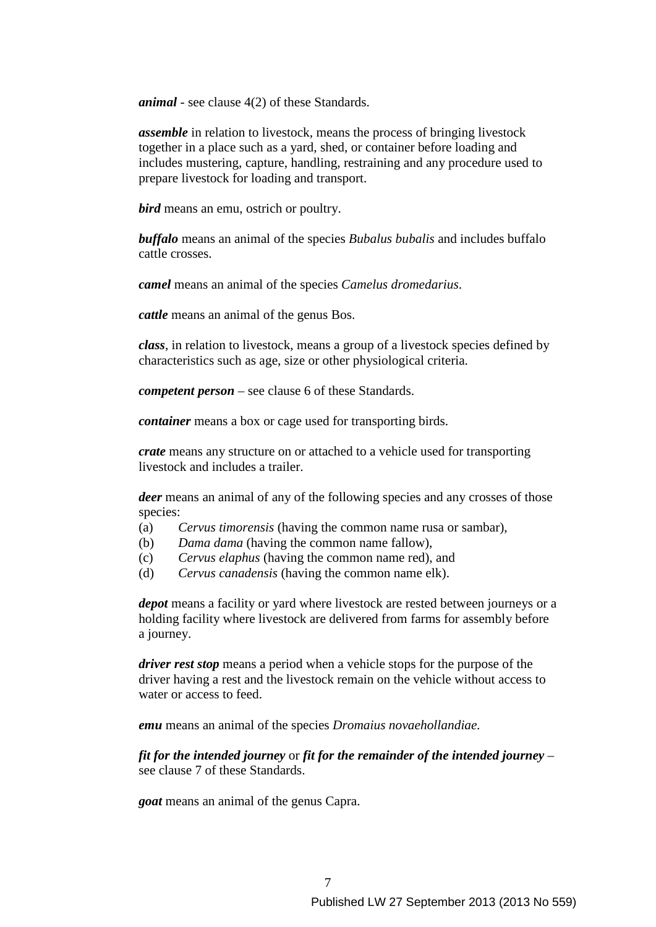*animal* - see clause 4(2) of these Standards.

*assemble* in relation to livestock, means the process of bringing livestock together in a place such as a yard, shed, or container before loading and includes mustering, capture, handling, restraining and any procedure used to prepare livestock for loading and transport.

*bird* means an emu, ostrich or poultry.

*buffalo* means an animal of the species *Bubalus bubalis* and includes buffalo cattle crosses.

*camel* means an animal of the species *Camelus dromedarius*.

*cattle* means an animal of the genus Bos.

*class*, in relation to livestock, means a group of a livestock species defined by characteristics such as age, size or other physiological criteria.

*competent person* – see clause 6 of these Standards.

*container* means a box or cage used for transporting birds.

*crate* means any structure on or attached to a vehicle used for transporting livestock and includes a trailer.

*deer* means an animal of any of the following species and any crosses of those species:

- (a) *Cervus timorensis* (having the common name rusa or sambar),
- (b) *Dama dama* (having the common name fallow),
- (c) *Cervus elaphus* (having the common name red), and
- (d) *Cervus canadensis* (having the common name elk).

*depot* means a facility or yard where livestock are rested between journeys or a holding facility where livestock are delivered from farms for assembly before a journey.

*driver rest stop* means a period when a vehicle stops for the purpose of the driver having a rest and the livestock remain on the vehicle without access to water or access to feed.

*emu* means an animal of the species *Dromaius novaehollandiae.* 

*fit for the intended journey* or *fit for the remainder of the intended journey* – see clause 7 of these Standards.

*goat* means an animal of the genus Capra.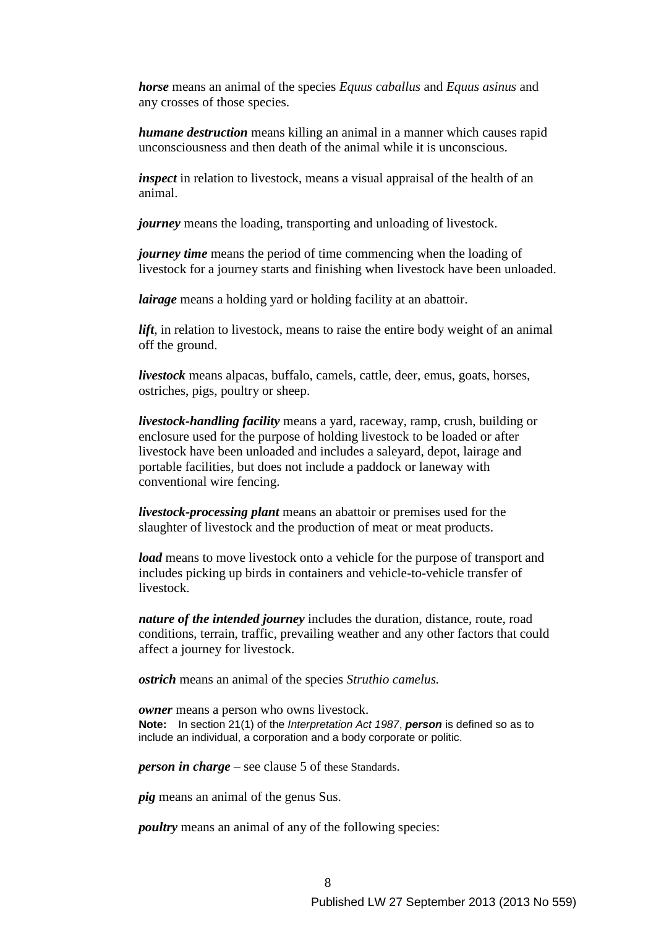*horse* means an animal of the species *Equus caballus* and *Equus asinus* and any crosses of those species.

*humane destruction* means killing an animal in a manner which causes rapid unconsciousness and then death of the animal while it is unconscious.

*inspect* in relation to livestock, means a visual appraisal of the health of an animal.

*journey* means the loading, transporting and unloading of livestock.

*journey time* means the period of time commencing when the loading of livestock for a journey starts and finishing when livestock have been unloaded.

*lairage* means a holding yard or holding facility at an abattoir.

*lift*, in relation to livestock, means to raise the entire body weight of an animal off the ground.

*livestock* means alpacas, buffalo, camels, cattle, deer, emus, goats, horses, ostriches, pigs, poultry or sheep.

*livestock-handling facility* means a yard, raceway, ramp, crush, building or enclosure used for the purpose of holding livestock to be loaded or after livestock have been unloaded and includes a saleyard, depot, lairage and portable facilities, but does not include a paddock or laneway with conventional wire fencing.

*livestock-processing plant* means an abattoir or premises used for the slaughter of livestock and the production of meat or meat products.

*load* means to move livestock onto a vehicle for the purpose of transport and includes picking up birds in containers and vehicle-to-vehicle transfer of livestock.

*nature of the intended journey* includes the duration, distance, route, road conditions, terrain, traffic, prevailing weather and any other factors that could affect a journey for livestock.

*ostrich* means an animal of the species *Struthio camelus.* 

*owner* means a person who owns livestock. **Note:** In section 21(1) of the *Interpretation Act 1987*, *person* is defined so as to include an individual, a corporation and a body corporate or politic.

*person in charge* – see clause 5 of these Standards.

*pig* means an animal of the genus Sus.

*poultry* means an animal of any of the following species: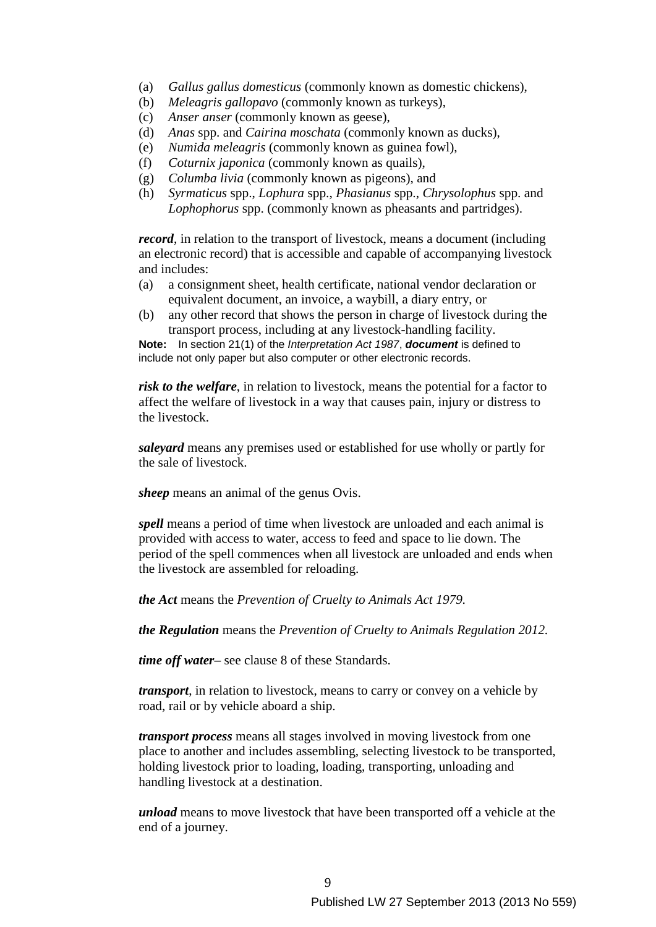- (a) *Gallus gallus domesticus* (commonly known as domestic chickens),
- (b) *Meleagris gallopavo* (commonly known as turkeys),
- (c) *Anser anser* (commonly known as geese),
- (d) *Anas* spp. and *Cairina moschata* (commonly known as ducks),
- (e) *Numida meleagris* (commonly known as guinea fowl),
- (f) *Coturnix japonica* (commonly known as quails),
- (g) *Columba livia* (commonly known as pigeons), and
- (h) *Syrmaticus* spp., *Lophura* spp., *Phasianus* spp., *Chrysolophus* spp. and *Lophophorus* spp. (commonly known as pheasants and partridges).

*record*, in relation to the transport of livestock, means a document (including an electronic record) that is accessible and capable of accompanying livestock and includes:

- (a) a consignment sheet, health certificate, national vendor declaration or equivalent document, an invoice, a waybill, a diary entry, or
- (b) any other record that shows the person in charge of livestock during the transport process, including at any livestock-handling facility.

**Note:** In section 21(1) of the *Interpretation Act 1987*, *document* is defined to include not only paper but also computer or other electronic records.

*risk to the welfare*, in relation to livestock, means the potential for a factor to affect the welfare of livestock in a way that causes pain, injury or distress to the livestock.

*saleyard* means any premises used or established for use wholly or partly for the sale of livestock.

*sheep* means an animal of the genus Ovis.

*spell* means a period of time when livestock are unloaded and each animal is provided with access to water, access to feed and space to lie down. The period of the spell commences when all livestock are unloaded and ends when the livestock are assembled for reloading.

*the Act* means the *Prevention of Cruelty to Animals Act 1979.* 

*the Regulation* means the *Prevention of Cruelty to Animals Regulation 2012.* 

*time off water*– see clause 8 of these Standards.

*transport*, in relation to livestock, means to carry or convey on a vehicle by road, rail or by vehicle aboard a ship.

*transport process* means all stages involved in moving livestock from one place to another and includes assembling, selecting livestock to be transported, holding livestock prior to loading, loading, transporting, unloading and handling livestock at a destination.

*unload* means to move livestock that have been transported off a vehicle at the end of a journey.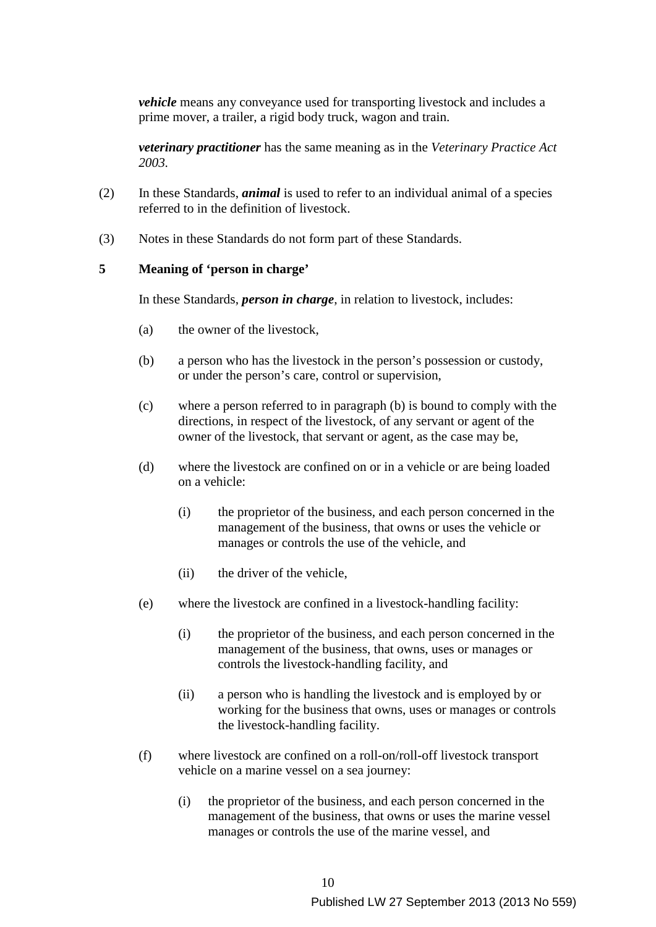*vehicle* means any conveyance used for transporting livestock and includes a prime mover, a trailer, a rigid body truck, wagon and train.

*veterinary practitioner* has the same meaning as in the *Veterinary Practice Act 2003.* 

- (2) In these Standards, *animal* is used to refer to an individual animal of a species referred to in the definition of livestock.
- (3) Notes in these Standards do not form part of these Standards.

#### **5 Meaning of 'person in charge'**

In these Standards, *person in charge*, in relation to livestock, includes:

- (a) the owner of the livestock,
- (b) a person who has the livestock in the person's possession or custody, or under the person's care, control or supervision,
- (c) where a person referred to in paragraph (b) is bound to comply with the directions, in respect of the livestock, of any servant or agent of the owner of the livestock, that servant or agent, as the case may be,
- (d) where the livestock are confined on or in a vehicle or are being loaded on a vehicle:
	- (i) the proprietor of the business, and each person concerned in the management of the business, that owns or uses the vehicle or manages or controls the use of the vehicle, and
	- (ii) the driver of the vehicle,
- (e) where the livestock are confined in a livestock-handling facility:
	- (i) the proprietor of the business, and each person concerned in the management of the business, that owns, uses or manages or controls the livestock-handling facility, and
	- (ii) a person who is handling the livestock and is employed by or working for the business that owns, uses or manages or controls the livestock-handling facility.
- (f) where livestock are confined on a roll-on/roll-off livestock transport vehicle on a marine vessel on a sea journey:
	- (i) the proprietor of the business, and each person concerned in the management of the business, that owns or uses the marine vessel manages or controls the use of the marine vessel, and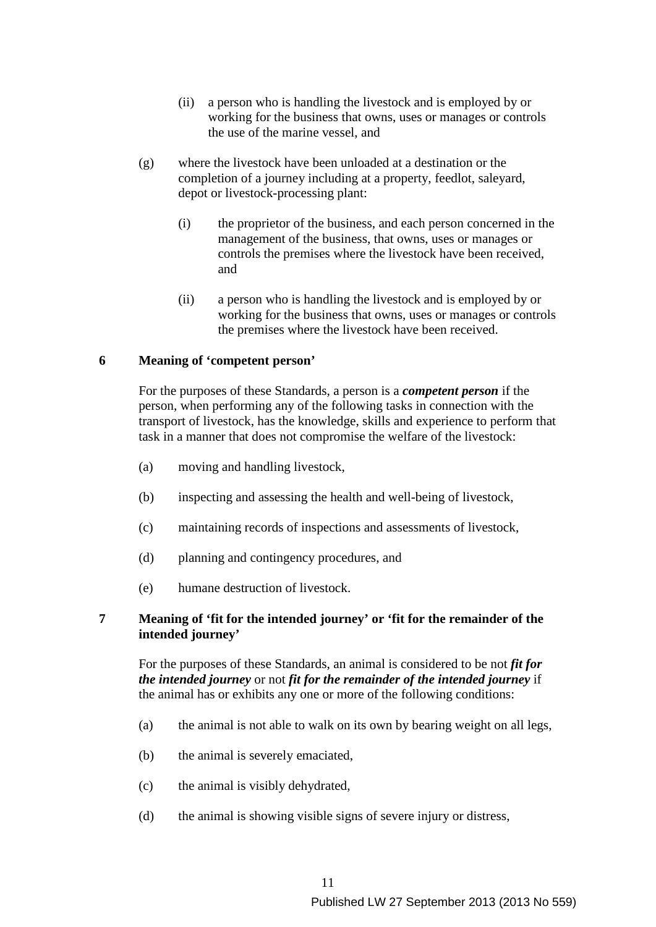- (ii) a person who is handling the livestock and is employed by or working for the business that owns, uses or manages or controls the use of the marine vessel, and
- (g) where the livestock have been unloaded at a destination or the completion of a journey including at a property, feedlot, saleyard, depot or livestock-processing plant:
	- (i) the proprietor of the business, and each person concerned in the management of the business, that owns, uses or manages or controls the premises where the livestock have been received, and
	- (ii) a person who is handling the livestock and is employed by or working for the business that owns, uses or manages or controls the premises where the livestock have been received.

### **6 Meaning of 'competent person'**

For the purposes of these Standards, a person is a *competent person* if the person, when performing any of the following tasks in connection with the transport of livestock, has the knowledge, skills and experience to perform that task in a manner that does not compromise the welfare of the livestock:

- (a) moving and handling livestock,
- (b) inspecting and assessing the health and well-being of livestock,
- (c) maintaining records of inspections and assessments of livestock,
- (d) planning and contingency procedures, and
- (e) humane destruction of livestock.

### **7 Meaning of 'fit for the intended journey' or 'fit for the remainder of the intended journey'**

For the purposes of these Standards, an animal is considered to be not *fit for the intended journey* or not *fit for the remainder of the intended journey* if the animal has or exhibits any one or more of the following conditions:

- (a) the animal is not able to walk on its own by bearing weight on all legs,
- (b) the animal is severely emaciated,
- (c) the animal is visibly dehydrated,
- (d) the animal is showing visible signs of severe injury or distress,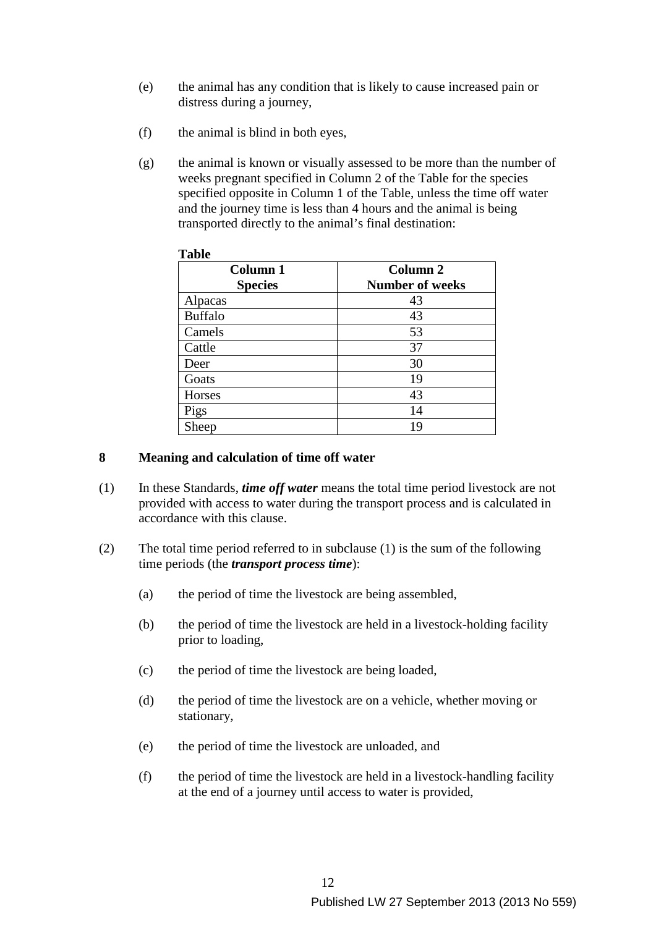- (e) the animal has any condition that is likely to cause increased pain or distress during a journey,
- (f) the animal is blind in both eyes,
- (g) the animal is known or visually assessed to be more than the number of weeks pregnant specified in Column 2 of the Table for the species specified opposite in Column 1 of the Table, unless the time off water and the journey time is less than 4 hours and the animal is being transported directly to the animal's final destination:

| <b>Column 1</b><br><b>Species</b> | Column 2<br><b>Number of weeks</b> |
|-----------------------------------|------------------------------------|
| Alpacas                           | 43                                 |
| <b>Buffalo</b>                    | 43                                 |
| Camels                            | 53                                 |
| Cattle                            | 37                                 |
| Deer                              | 30                                 |
| Goats                             | 19                                 |
| Horses                            | 43                                 |
| Pigs                              | 14                                 |
| Sheep                             | 19                                 |

### **Table**

### **8 Meaning and calculation of time off water**

- (1) In these Standards, *time off water* means the total time period livestock are not provided with access to water during the transport process and is calculated in accordance with this clause.
- (2) The total time period referred to in subclause (1) is the sum of the following time periods (the *transport process time*):
	- (a) the period of time the livestock are being assembled,
	- (b) the period of time the livestock are held in a livestock-holding facility prior to loading,
	- (c) the period of time the livestock are being loaded,
	- (d) the period of time the livestock are on a vehicle, whether moving or stationary,
	- (e) the period of time the livestock are unloaded, and
	- (f) the period of time the livestock are held in a livestock-handling facility at the end of a journey until access to water is provided,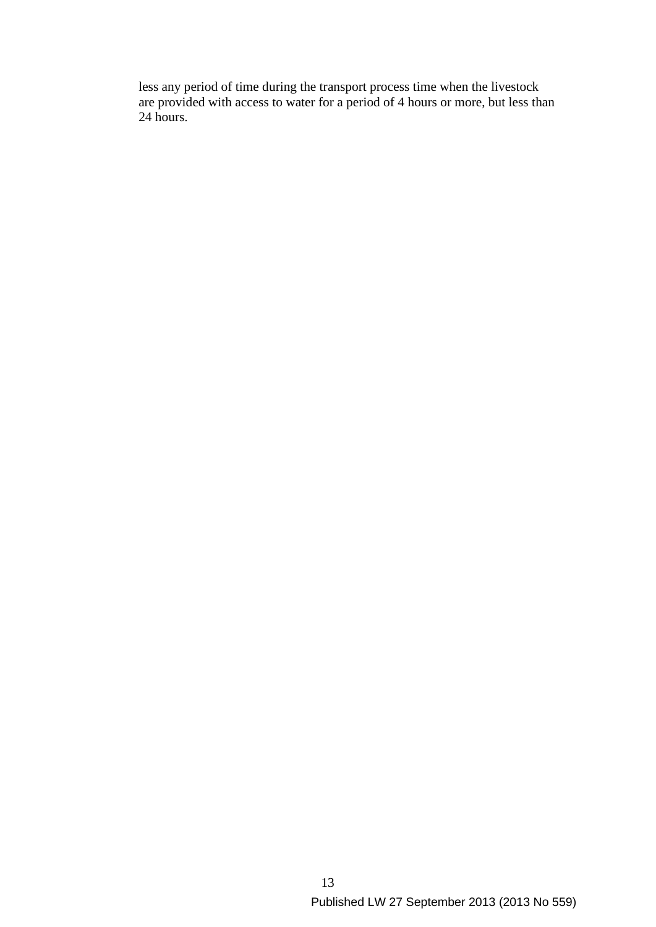less any period of time during the transport process time when the livestock are provided with access to water for a period of 4 hours or more, but less than 24 hours.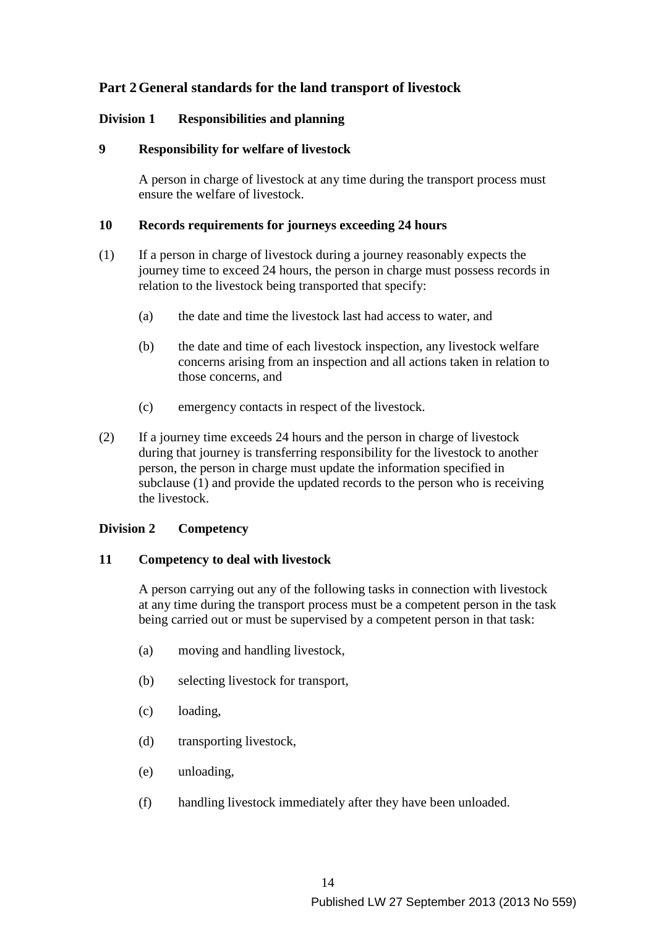# **Part 2 General standards for the land transport of livestock**

# **Division 1 Responsibilities and planning**

# **9 Responsibility for welfare of livestock**

A person in charge of livestock at any time during the transport process must ensure the welfare of livestock.

### **10 Records requirements for journeys exceeding 24 hours**

- (1) If a person in charge of livestock during a journey reasonably expects the journey time to exceed 24 hours, the person in charge must possess records in relation to the livestock being transported that specify:
	- (a) the date and time the livestock last had access to water, and
	- (b) the date and time of each livestock inspection, any livestock welfare concerns arising from an inspection and all actions taken in relation to those concerns, and
	- (c) emergency contacts in respect of the livestock.
- (2) If a journey time exceeds 24 hours and the person in charge of livestock during that journey is transferring responsibility for the livestock to another person, the person in charge must update the information specified in subclause (1) and provide the updated records to the person who is receiving the livestock.

# **Division 2 Competency**

# **11 Competency to deal with livestock**

A person carrying out any of the following tasks in connection with livestock at any time during the transport process must be a competent person in the task being carried out or must be supervised by a competent person in that task:

- (a) moving and handling livestock,
- (b) selecting livestock for transport,
- (c) loading,
- (d) transporting livestock,
- (e) unloading,
- (f) handling livestock immediately after they have been unloaded.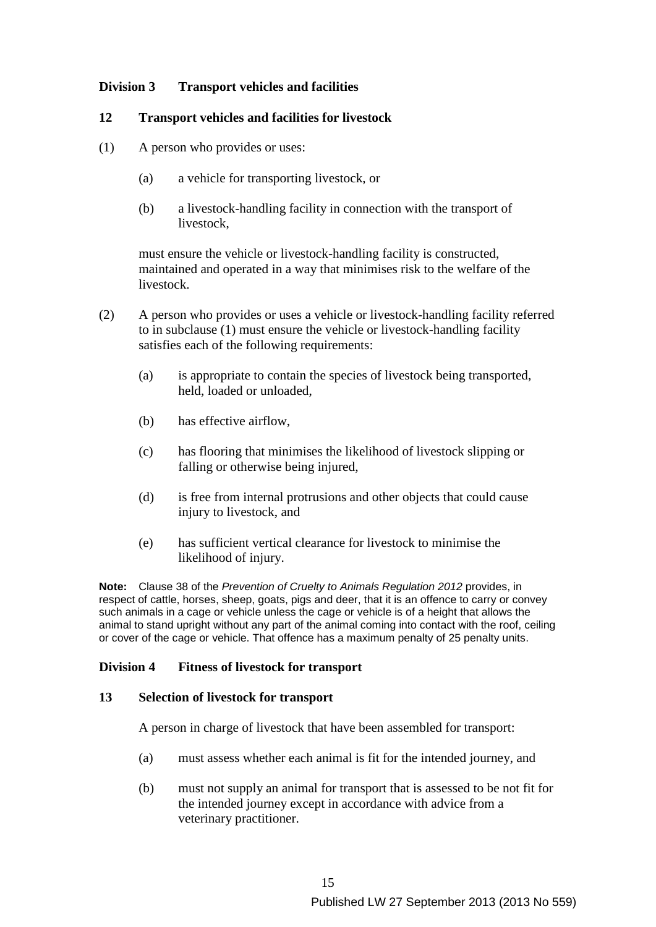# **Division 3 Transport vehicles and facilities**

#### **12 Transport vehicles and facilities for livestock**

- (1) A person who provides or uses:
	- (a) a vehicle for transporting livestock, or
	- (b) a livestock-handling facility in connection with the transport of livestock,

must ensure the vehicle or livestock-handling facility is constructed, maintained and operated in a way that minimises risk to the welfare of the livestock.

- (2) A person who provides or uses a vehicle or livestock-handling facility referred to in subclause (1) must ensure the vehicle or livestock-handling facility satisfies each of the following requirements:
	- (a) is appropriate to contain the species of livestock being transported, held, loaded or unloaded,
	- (b) has effective airflow,
	- (c) has flooring that minimises the likelihood of livestock slipping or falling or otherwise being injured,
	- (d) is free from internal protrusions and other objects that could cause injury to livestock, and
	- (e) has sufficient vertical clearance for livestock to minimise the likelihood of injury.

**Note:** Clause 38 of the *Prevention of Cruelty to Animals Regulation 2012* provides, in respect of cattle, horses, sheep, goats, pigs and deer, that it is an offence to carry or convey such animals in a cage or vehicle unless the cage or vehicle is of a height that allows the animal to stand upright without any part of the animal coming into contact with the roof, ceiling or cover of the cage or vehicle. That offence has a maximum penalty of 25 penalty units.

### **Division 4 Fitness of livestock for transport**

#### **13 Selection of livestock for transport**

A person in charge of livestock that have been assembled for transport:

- (a) must assess whether each animal is fit for the intended journey, and
- (b) must not supply an animal for transport that is assessed to be not fit for the intended journey except in accordance with advice from a veterinary practitioner.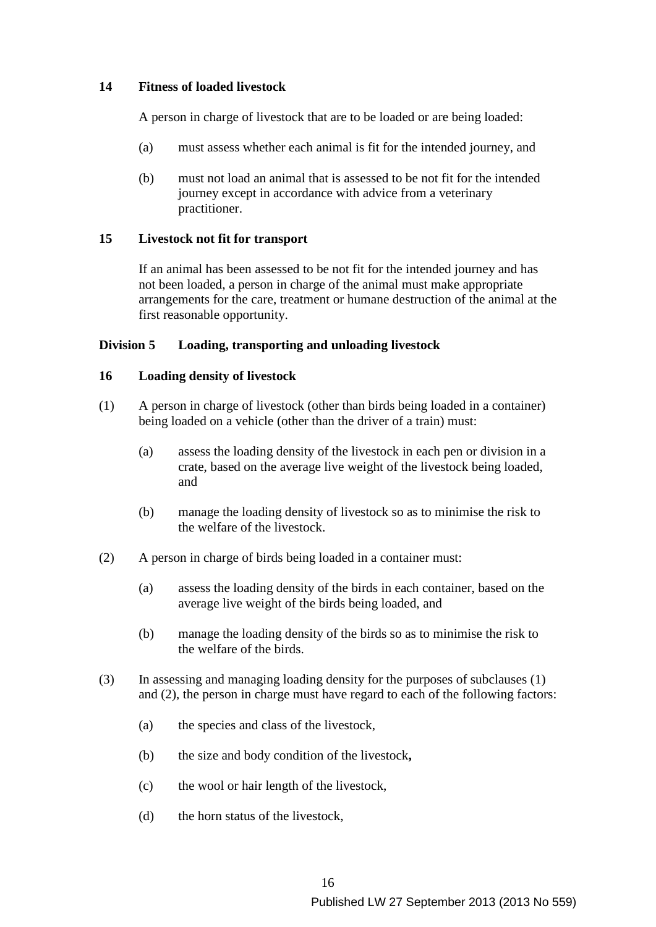### **14 Fitness of loaded livestock**

A person in charge of livestock that are to be loaded or are being loaded:

- (a) must assess whether each animal is fit for the intended journey, and
- (b) must not load an animal that is assessed to be not fit for the intended journey except in accordance with advice from a veterinary practitioner.

### **15 Livestock not fit for transport**

If an animal has been assessed to be not fit for the intended journey and has not been loaded, a person in charge of the animal must make appropriate arrangements for the care, treatment or humane destruction of the animal at the first reasonable opportunity.

### **Division 5 Loading, transporting and unloading livestock**

### **16 Loading density of livestock**

- (1) A person in charge of livestock (other than birds being loaded in a container) being loaded on a vehicle (other than the driver of a train) must:
	- (a) assess the loading density of the livestock in each pen or division in a crate, based on the average live weight of the livestock being loaded, and
	- (b) manage the loading density of livestock so as to minimise the risk to the welfare of the livestock.
- (2) A person in charge of birds being loaded in a container must:
	- (a) assess the loading density of the birds in each container, based on the average live weight of the birds being loaded, and
	- (b) manage the loading density of the birds so as to minimise the risk to the welfare of the birds.
- (3) In assessing and managing loading density for the purposes of subclauses (1) and (2), the person in charge must have regard to each of the following factors:
	- (a) the species and class of the livestock,
	- (b) the size and body condition of the livestock**,**
	- (c) the wool or hair length of the livestock,
	- (d) the horn status of the livestock,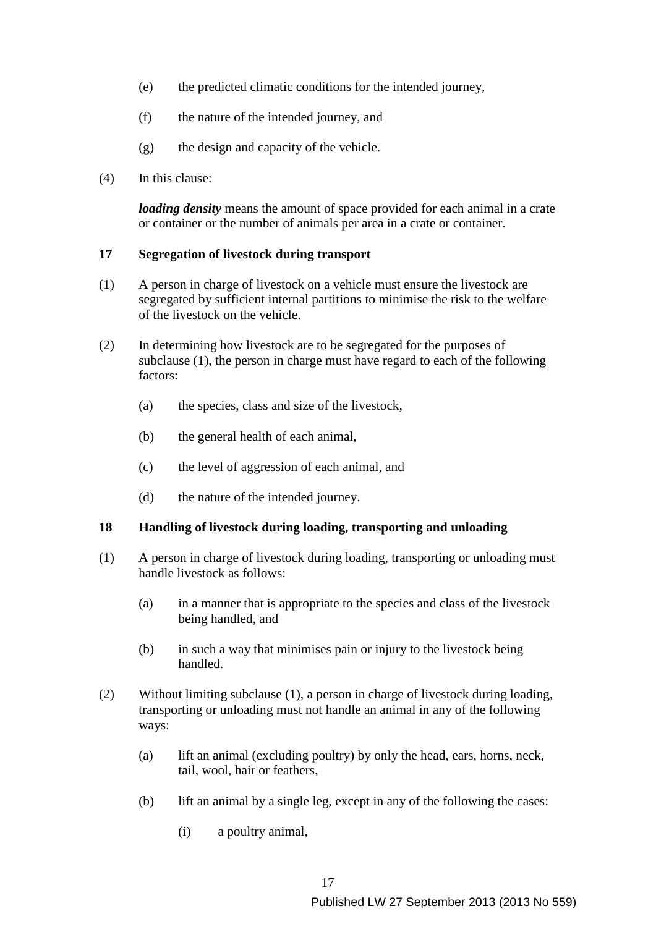- (e) the predicted climatic conditions for the intended journey,
- (f) the nature of the intended journey, and
- (g) the design and capacity of the vehicle.
- (4) In this clause:

*loading density* means the amount of space provided for each animal in a crate or container or the number of animals per area in a crate or container.

### **17 Segregation of livestock during transport**

- (1) A person in charge of livestock on a vehicle must ensure the livestock are segregated by sufficient internal partitions to minimise the risk to the welfare of the livestock on the vehicle.
- (2) In determining how livestock are to be segregated for the purposes of subclause (1), the person in charge must have regard to each of the following factors:
	- (a) the species, class and size of the livestock,
	- (b) the general health of each animal,
	- (c) the level of aggression of each animal, and
	- (d) the nature of the intended journey.

### **18 Handling of livestock during loading, transporting and unloading**

- (1) A person in charge of livestock during loading, transporting or unloading must handle livestock as follows:
	- (a) in a manner that is appropriate to the species and class of the livestock being handled, and
	- (b) in such a way that minimises pain or injury to the livestock being handled.
- (2) Without limiting subclause (1), a person in charge of livestock during loading, transporting or unloading must not handle an animal in any of the following ways:
	- (a) lift an animal (excluding poultry) by only the head, ears, horns, neck, tail, wool, hair or feathers,
	- (b) lift an animal by a single leg, except in any of the following the cases:
		- (i) a poultry animal,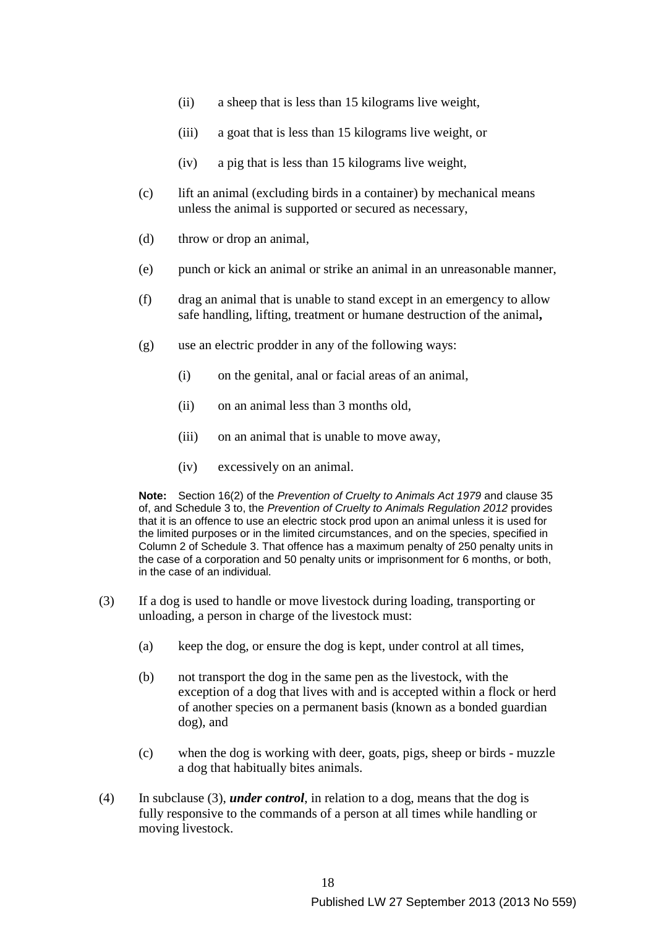- (ii) a sheep that is less than 15 kilograms live weight,
- (iii) a goat that is less than 15 kilograms live weight, or
- (iv) a pig that is less than 15 kilograms live weight,
- (c) lift an animal (excluding birds in a container) by mechanical means unless the animal is supported or secured as necessary,
- (d) throw or drop an animal,
- (e) punch or kick an animal or strike an animal in an unreasonable manner,
- (f) drag an animal that is unable to stand except in an emergency to allow safe handling, lifting, treatment or humane destruction of the animal**,**
- (g) use an electric prodder in any of the following ways:
	- (i) on the genital, anal or facial areas of an animal,
	- (ii) on an animal less than 3 months old,
	- (iii) on an animal that is unable to move away,
	- (iv) excessively on an animal.

**Note:** Section 16(2) of the *Prevention of Cruelty to Animals Act 1979* and clause 35 of, and Schedule 3 to, the *Prevention of Cruelty to Animals Regulation 2012* provides that it is an offence to use an electric stock prod upon an animal unless it is used for the limited purposes or in the limited circumstances, and on the species, specified in Column 2 of Schedule 3. That offence has a maximum penalty of 250 penalty units in the case of a corporation and 50 penalty units or imprisonment for 6 months, or both, in the case of an individual.

- (3) If a dog is used to handle or move livestock during loading, transporting or unloading, a person in charge of the livestock must:
	- (a) keep the dog, or ensure the dog is kept, under control at all times,
	- (b) not transport the dog in the same pen as the livestock, with the exception of a dog that lives with and is accepted within a flock or herd of another species on a permanent basis (known as a bonded guardian dog), and
	- (c) when the dog is working with deer, goats, pigs, sheep or birds muzzle a dog that habitually bites animals.
- (4) In subclause (3), *under control*, in relation to a dog, means that the dog is fully responsive to the commands of a person at all times while handling or moving livestock.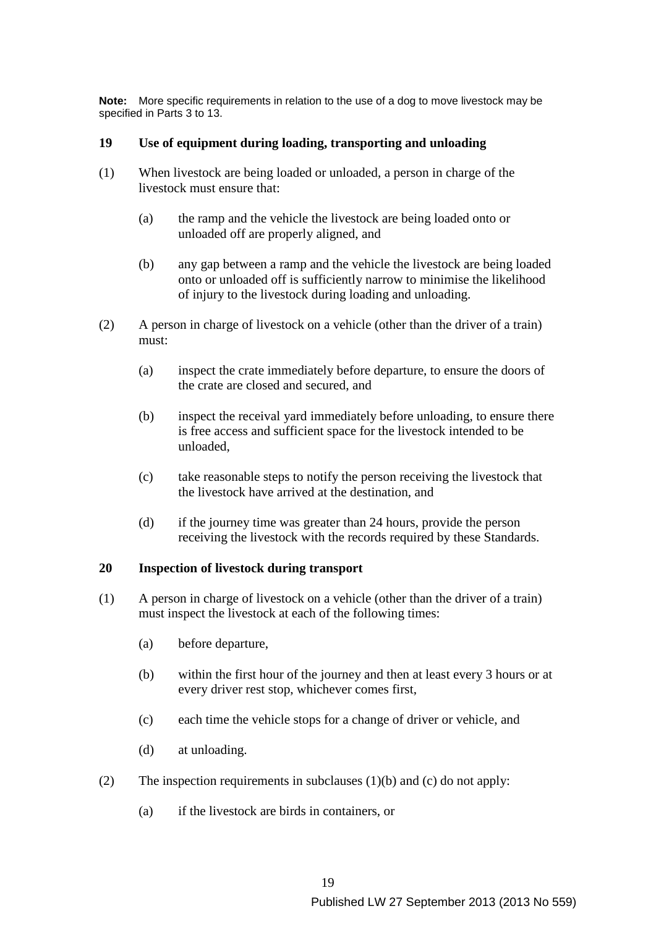**Note:** More specific requirements in relation to the use of a dog to move livestock may be specified in Parts 3 to 13.

### **19 Use of equipment during loading, transporting and unloading**

- (1) When livestock are being loaded or unloaded, a person in charge of the livestock must ensure that:
	- (a) the ramp and the vehicle the livestock are being loaded onto or unloaded off are properly aligned, and
	- (b) any gap between a ramp and the vehicle the livestock are being loaded onto or unloaded off is sufficiently narrow to minimise the likelihood of injury to the livestock during loading and unloading.
- (2) A person in charge of livestock on a vehicle (other than the driver of a train) must:
	- (a) inspect the crate immediately before departure, to ensure the doors of the crate are closed and secured, and
	- (b) inspect the receival yard immediately before unloading, to ensure there is free access and sufficient space for the livestock intended to be unloaded,
	- (c) take reasonable steps to notify the person receiving the livestock that the livestock have arrived at the destination, and
	- (d) if the journey time was greater than 24 hours, provide the person receiving the livestock with the records required by these Standards.

### **20 Inspection of livestock during transport**

- (1) A person in charge of livestock on a vehicle (other than the driver of a train) must inspect the livestock at each of the following times:
	- (a) before departure,
	- (b) within the first hour of the journey and then at least every 3 hours or at every driver rest stop, whichever comes first,
	- (c) each time the vehicle stops for a change of driver or vehicle, and
	- (d) at unloading.
- (2) The inspection requirements in subclauses (1)(b) and (c) do not apply:
	- (a) if the livestock are birds in containers, or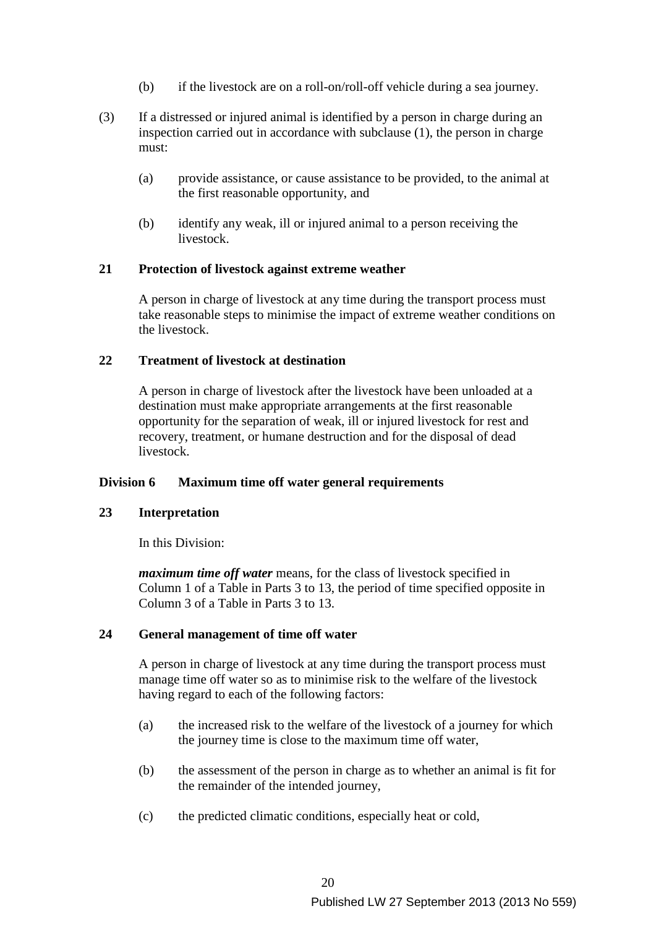- (b) if the livestock are on a roll-on/roll-off vehicle during a sea journey.
- (3) If a distressed or injured animal is identified by a person in charge during an inspection carried out in accordance with subclause (1), the person in charge must:
	- (a) provide assistance, or cause assistance to be provided, to the animal at the first reasonable opportunity, and
	- (b) identify any weak, ill or injured animal to a person receiving the livestock.

#### **21 Protection of livestock against extreme weather**

A person in charge of livestock at any time during the transport process must take reasonable steps to minimise the impact of extreme weather conditions on the livestock.

### **22 Treatment of livestock at destination**

A person in charge of livestock after the livestock have been unloaded at a destination must make appropriate arrangements at the first reasonable opportunity for the separation of weak, ill or injured livestock for rest and recovery, treatment, or humane destruction and for the disposal of dead livestock.

### **Division 6 Maximum time off water general requirements**

### **23 Interpretation**

In this Division:

*maximum time off water* means, for the class of livestock specified in Column 1 of a Table in Parts 3 to 13, the period of time specified opposite in Column 3 of a Table in Parts 3 to 13.

### **24 General management of time off water**

A person in charge of livestock at any time during the transport process must manage time off water so as to minimise risk to the welfare of the livestock having regard to each of the following factors:

- (a) the increased risk to the welfare of the livestock of a journey for which the journey time is close to the maximum time off water,
- (b) the assessment of the person in charge as to whether an animal is fit for the remainder of the intended journey,
- (c) the predicted climatic conditions, especially heat or cold,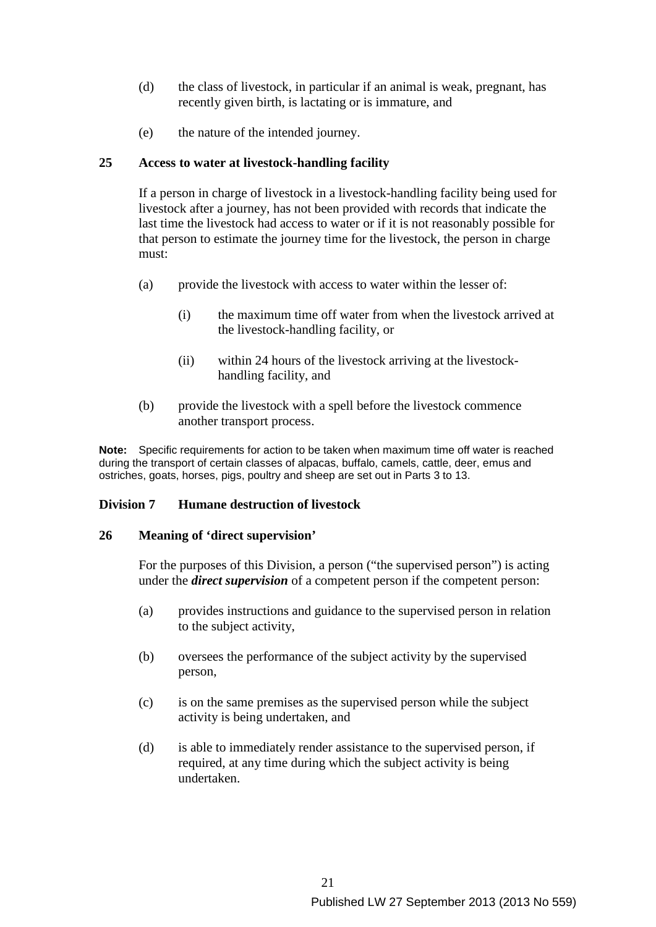- (d) the class of livestock, in particular if an animal is weak, pregnant, has recently given birth, is lactating or is immature, and
- (e) the nature of the intended journey.

### **25 Access to water at livestock-handling facility**

If a person in charge of livestock in a livestock-handling facility being used for livestock after a journey, has not been provided with records that indicate the last time the livestock had access to water or if it is not reasonably possible for that person to estimate the journey time for the livestock, the person in charge must:

- (a) provide the livestock with access to water within the lesser of:
	- (i) the maximum time off water from when the livestock arrived at the livestock-handling facility, or
	- (ii) within 24 hours of the livestock arriving at the livestockhandling facility, and
- (b) provide the livestock with a spell before the livestock commence another transport process.

**Note:** Specific requirements for action to be taken when maximum time off water is reached during the transport of certain classes of alpacas, buffalo, camels, cattle, deer, emus and ostriches, goats, horses, pigs, poultry and sheep are set out in Parts 3 to 13.

### **Division 7 Humane destruction of livestock**

### **26 Meaning of 'direct supervision'**

For the purposes of this Division, a person ("the supervised person") is acting under the *direct supervision* of a competent person if the competent person:

- (a) provides instructions and guidance to the supervised person in relation to the subject activity,
- (b) oversees the performance of the subject activity by the supervised person,
- (c) is on the same premises as the supervised person while the subject activity is being undertaken, and
- (d) is able to immediately render assistance to the supervised person, if required, at any time during which the subject activity is being undertaken.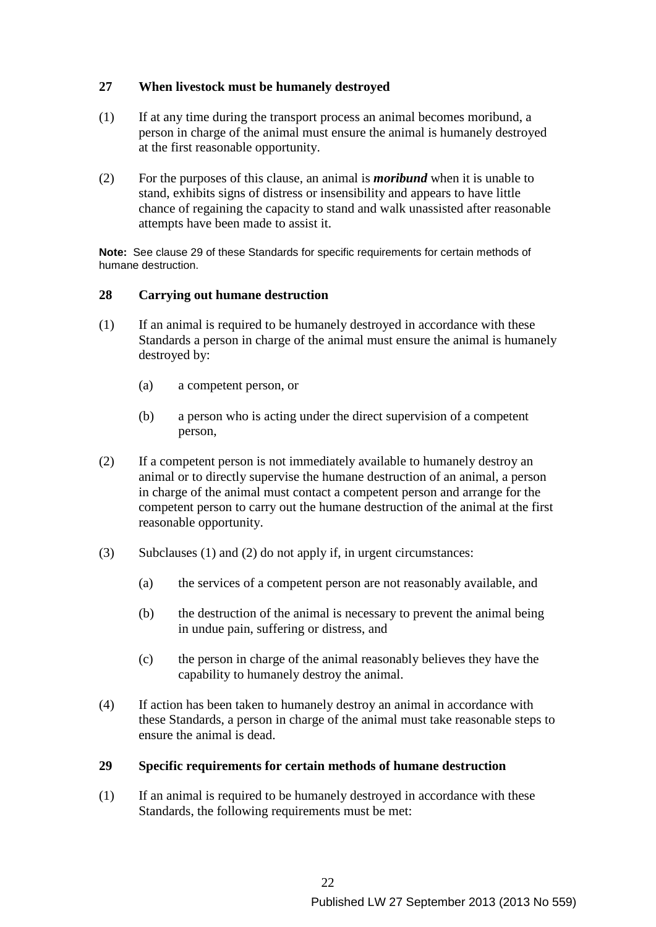# **27 When livestock must be humanely destroyed**

- (1) If at any time during the transport process an animal becomes moribund, a person in charge of the animal must ensure the animal is humanely destroyed at the first reasonable opportunity.
- (2) For the purposes of this clause, an animal is *moribund* when it is unable to stand, exhibits signs of distress or insensibility and appears to have little chance of regaining the capacity to stand and walk unassisted after reasonable attempts have been made to assist it.

**Note:** See clause 29 of these Standards for specific requirements for certain methods of humane destruction.

### **28 Carrying out humane destruction**

- (1) If an animal is required to be humanely destroyed in accordance with these Standards a person in charge of the animal must ensure the animal is humanely destroyed by:
	- (a) a competent person, or
	- (b) a person who is acting under the direct supervision of a competent person,
- (2) If a competent person is not immediately available to humanely destroy an animal or to directly supervise the humane destruction of an animal, a person in charge of the animal must contact a competent person and arrange for the competent person to carry out the humane destruction of the animal at the first reasonable opportunity.
- (3) Subclauses (1) and (2) do not apply if, in urgent circumstances:
	- (a) the services of a competent person are not reasonably available, and
	- (b) the destruction of the animal is necessary to prevent the animal being in undue pain, suffering or distress, and
	- (c) the person in charge of the animal reasonably believes they have the capability to humanely destroy the animal.
- (4) If action has been taken to humanely destroy an animal in accordance with these Standards, a person in charge of the animal must take reasonable steps to ensure the animal is dead.

### **29 Specific requirements for certain methods of humane destruction**

(1) If an animal is required to be humanely destroyed in accordance with these Standards, the following requirements must be met: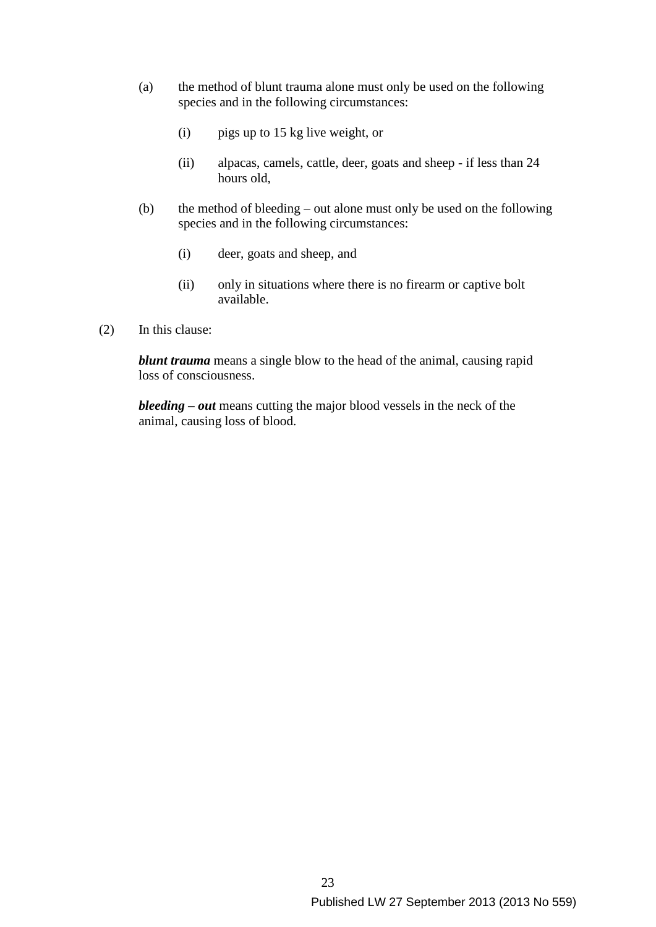- (a) the method of blunt trauma alone must only be used on the following species and in the following circumstances:
	- (i) pigs up to 15 kg live weight, or
	- (ii) alpacas, camels, cattle, deer, goats and sheep if less than 24 hours old,
- (b) the method of bleeding out alone must only be used on the following species and in the following circumstances:
	- (i) deer, goats and sheep, and
	- (ii) only in situations where there is no firearm or captive bolt available.
- (2) In this clause:

*blunt trauma* means a single blow to the head of the animal, causing rapid loss of consciousness.

*bleeding – out* means cutting the major blood vessels in the neck of the animal, causing loss of blood.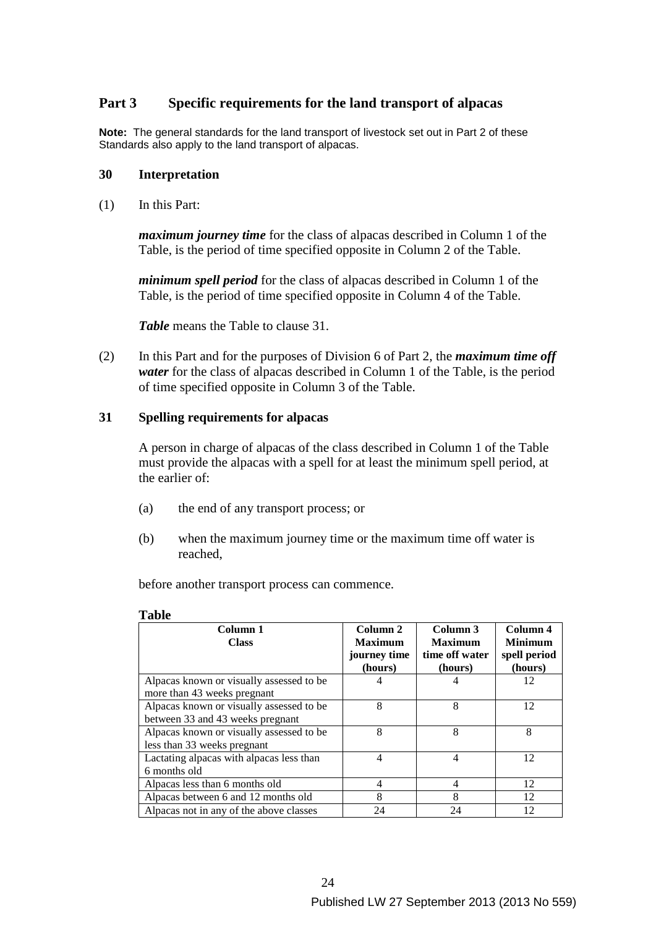# **Part 3 Specific requirements for the land transport of alpacas**

**Note:** The general standards for the land transport of livestock set out in Part 2 of these Standards also apply to the land transport of alpacas.

#### **30 Interpretation**

(1) In this Part:

*maximum journey time* for the class of alpacas described in Column 1 of the Table, is the period of time specified opposite in Column 2 of the Table.

*minimum spell period* for the class of alpacas described in Column 1 of the Table, is the period of time specified opposite in Column 4 of the Table.

*Table* means the Table to clause 31.

(2) In this Part and for the purposes of Division 6 of Part 2, the *maximum time off water* for the class of alpacas described in Column 1 of the Table, is the period of time specified opposite in Column 3 of the Table.

### **31 Spelling requirements for alpacas**

 A person in charge of alpacas of the class described in Column 1 of the Table must provide the alpacas with a spell for at least the minimum spell period, at the earlier of:

- (a) the end of any transport process; or
- (b) when the maximum journey time or the maximum time off water is reached,

before another transport process can commence.

#### **Table**

| Column 1<br><b>Class</b>                                                     | Column 2<br><b>Maximum</b><br>journey time<br>(hours) | Column 3<br><b>Maximum</b><br>time off water<br>(hours) | Column 4<br><b>Minimum</b><br>spell period<br>(hours) |
|------------------------------------------------------------------------------|-------------------------------------------------------|---------------------------------------------------------|-------------------------------------------------------|
| Alpacas known or visually assessed to be<br>more than 43 weeks pregnant      | 4                                                     |                                                         | 12                                                    |
| Alpacas known or visually assessed to be<br>between 33 and 43 weeks pregnant | 8                                                     | 8                                                       | 12                                                    |
| Alpacas known or visually assessed to be<br>less than 33 weeks pregnant      | 8                                                     | 8                                                       | 8                                                     |
| Lactating alpacas with alpacas less than<br>6 months old                     | 4                                                     | 4                                                       | 12                                                    |
| Alpacas less than 6 months old                                               | 4                                                     | 4                                                       | 12                                                    |
| Alpacas between 6 and 12 months old                                          | 8                                                     | 8                                                       | 12                                                    |
| Alpacas not in any of the above classes                                      | 24                                                    | 24                                                      | 12                                                    |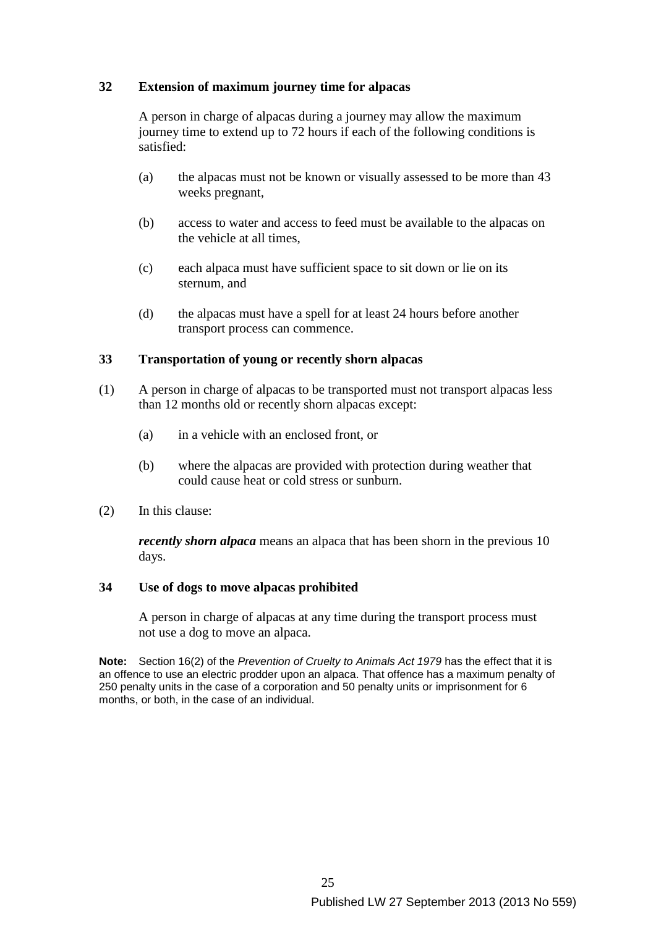### **32 Extension of maximum journey time for alpacas**

A person in charge of alpacas during a journey may allow the maximum journey time to extend up to 72 hours if each of the following conditions is satisfied:

- (a) the alpacas must not be known or visually assessed to be more than 43 weeks pregnant,
- (b) access to water and access to feed must be available to the alpacas on the vehicle at all times,
- (c) each alpaca must have sufficient space to sit down or lie on its sternum, and
- (d) the alpacas must have a spell for at least 24 hours before another transport process can commence.

### **33 Transportation of young or recently shorn alpacas**

- (1) A person in charge of alpacas to be transported must not transport alpacas less than 12 months old or recently shorn alpacas except:
	- (a) in a vehicle with an enclosed front, or
	- (b) where the alpacas are provided with protection during weather that could cause heat or cold stress or sunburn.
- (2) In this clause:

*recently shorn alpaca* means an alpaca that has been shorn in the previous 10 days.

### **34 Use of dogs to move alpacas prohibited**

A person in charge of alpacas at any time during the transport process must not use a dog to move an alpaca.

**Note:** Section 16(2) of the *Prevention of Cruelty to Animals Act 1979* has the effect that it is an offence to use an electric prodder upon an alpaca. That offence has a maximum penalty of 250 penalty units in the case of a corporation and 50 penalty units or imprisonment for 6 months, or both, in the case of an individual.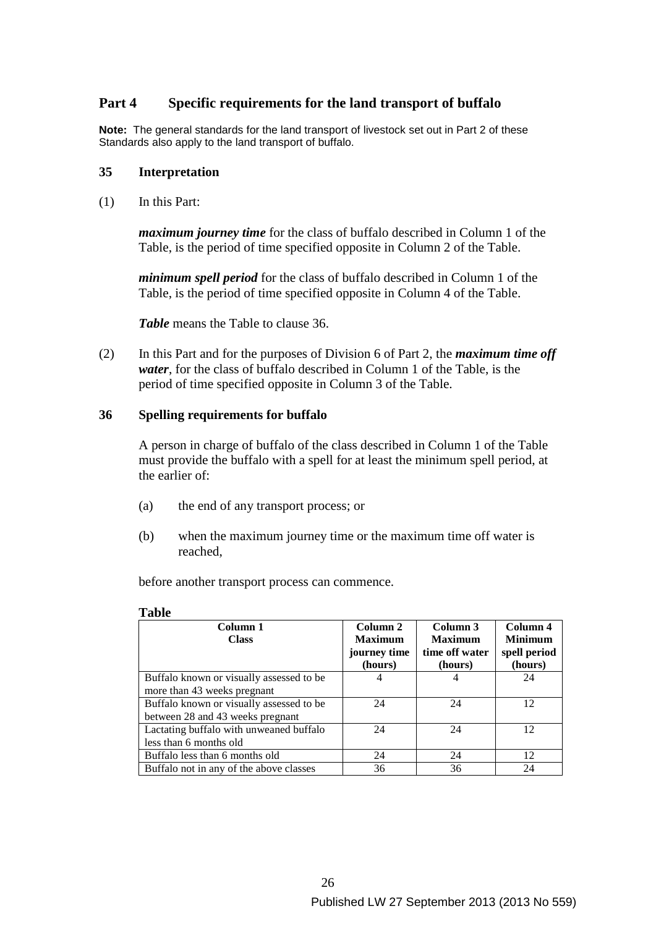# **Part 4 Specific requirements for the land transport of buffalo**

**Note:** The general standards for the land transport of livestock set out in Part 2 of these Standards also apply to the land transport of buffalo.

#### **35 Interpretation**

(1) In this Part:

*maximum journey time* for the class of buffalo described in Column 1 of the Table, is the period of time specified opposite in Column 2 of the Table.

*minimum spell period* for the class of buffalo described in Column 1 of the Table, is the period of time specified opposite in Column 4 of the Table.

*Table* means the Table to clause 36.

(2) In this Part and for the purposes of Division 6 of Part 2, the *maximum time off water*, for the class of buffalo described in Column 1 of the Table, is the period of time specified opposite in Column 3 of the Table.

### **36 Spelling requirements for buffalo**

A person in charge of buffalo of the class described in Column 1 of the Table must provide the buffalo with a spell for at least the minimum spell period, at the earlier of:

- (a) the end of any transport process; or
- (b) when the maximum journey time or the maximum time off water is reached,

before another transport process can commence.

| Column 1                                 | Column 2       | Column 3       | Column 4       |
|------------------------------------------|----------------|----------------|----------------|
| <b>Class</b>                             | <b>Maximum</b> | <b>Maximum</b> | <b>Minimum</b> |
|                                          | journey time   | time off water | spell period   |
|                                          | (hours)        | (hours)        | (hours)        |
| Buffalo known or visually assessed to be | 4              |                | 24             |
| more than 43 weeks pregnant              |                |                |                |
| Buffalo known or visually assessed to be | 24             | 24             | 12             |
| between 28 and 43 weeks pregnant         |                |                |                |
| Lactating buffalo with unweaned buffalo  | 24             | 24             | 12             |
| less than 6 months old                   |                |                |                |
| Buffalo less than 6 months old           | 24             | 24             | 12             |
| Buffalo not in any of the above classes  | 36             | 36             | 24             |

#### **Table**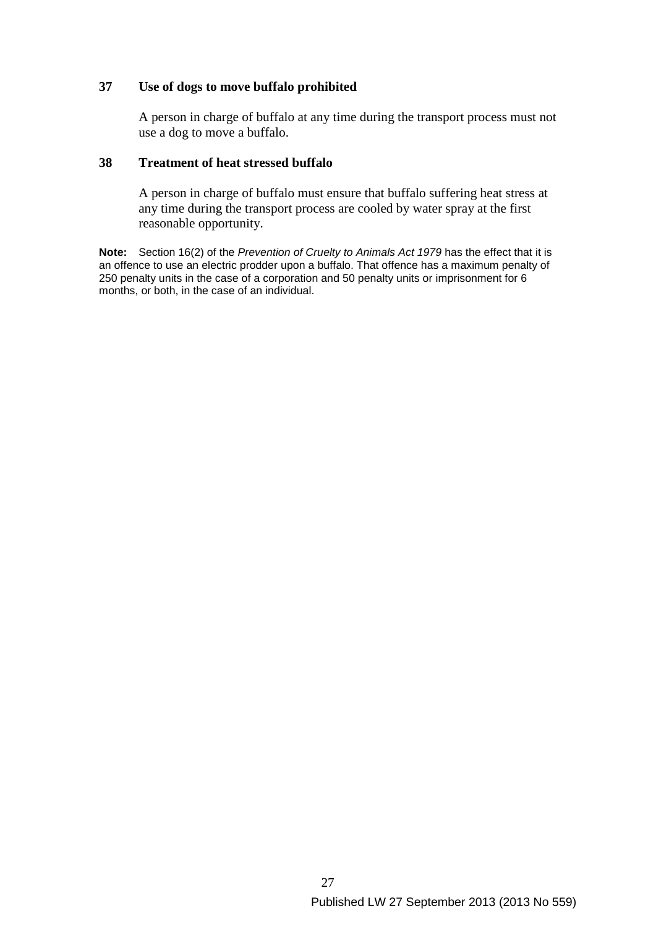### **37 Use of dogs to move buffalo prohibited**

A person in charge of buffalo at any time during the transport process must not use a dog to move a buffalo.

### **38 Treatment of heat stressed buffalo**

A person in charge of buffalo must ensure that buffalo suffering heat stress at any time during the transport process are cooled by water spray at the first reasonable opportunity.

**Note:** Section 16(2) of the *Prevention of Cruelty to Animals Act 1979* has the effect that it is an offence to use an electric prodder upon a buffalo. That offence has a maximum penalty of 250 penalty units in the case of a corporation and 50 penalty units or imprisonment for 6 months, or both, in the case of an individual.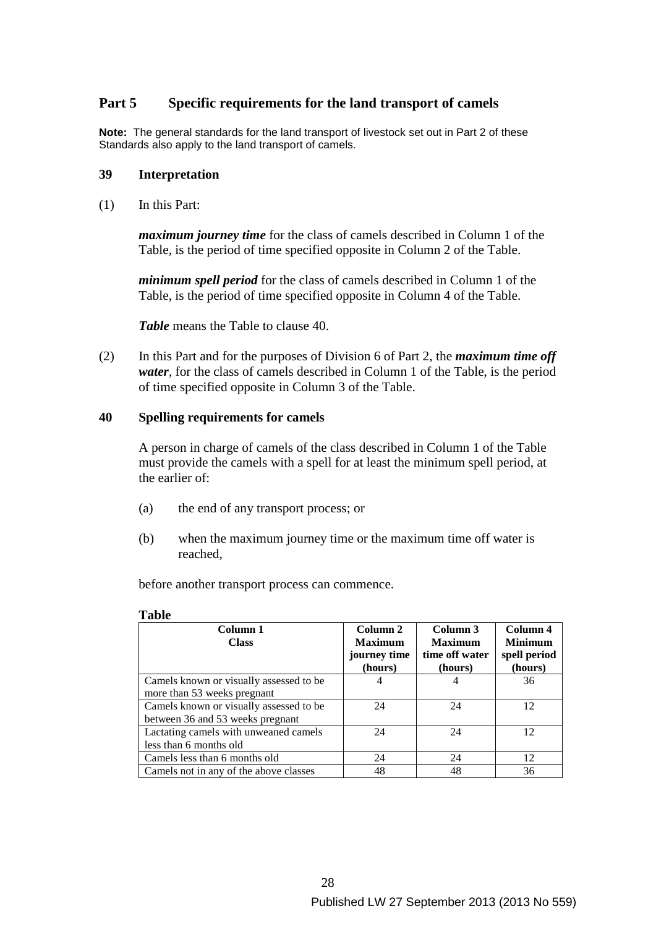# **Part 5 Specific requirements for the land transport of camels**

**Note:** The general standards for the land transport of livestock set out in Part 2 of these Standards also apply to the land transport of camels.

#### **39 Interpretation**

(1) In this Part:

*maximum journey time* for the class of camels described in Column 1 of the Table, is the period of time specified opposite in Column 2 of the Table.

*minimum spell period* for the class of camels described in Column 1 of the Table, is the period of time specified opposite in Column 4 of the Table.

*Table* means the Table to clause 40.

(2) In this Part and for the purposes of Division 6 of Part 2, the *maximum time off water*, for the class of camels described in Column 1 of the Table, is the period of time specified opposite in Column 3 of the Table.

#### **40 Spelling requirements for camels**

A person in charge of camels of the class described in Column 1 of the Table must provide the camels with a spell for at least the minimum spell period, at the earlier of:

- (a) the end of any transport process; or
- (b) when the maximum journey time or the maximum time off water is reached,

before another transport process can commence.

#### **Table**

| Column 1                                | Column 2       | Column 3       | Column 4       |
|-----------------------------------------|----------------|----------------|----------------|
| <b>Class</b>                            | <b>Maximum</b> | <b>Maximum</b> | <b>Minimum</b> |
|                                         | journey time   | time off water | spell period   |
|                                         | (hours)        | (hours)        | (hours)        |
| Camels known or visually assessed to be | 4              |                | 36             |
| more than 53 weeks pregnant             |                |                |                |
| Camels known or visually assessed to be | 24             | 24             | 12             |
| between 36 and 53 weeks pregnant        |                |                |                |
| Lactating camels with unweaned camels   | 24             | 24             | 12             |
| less than 6 months old                  |                |                |                |
| Camels less than 6 months old           | 24             | 24             | 12             |
| Camels not in any of the above classes  | 48             | 48             | 36             |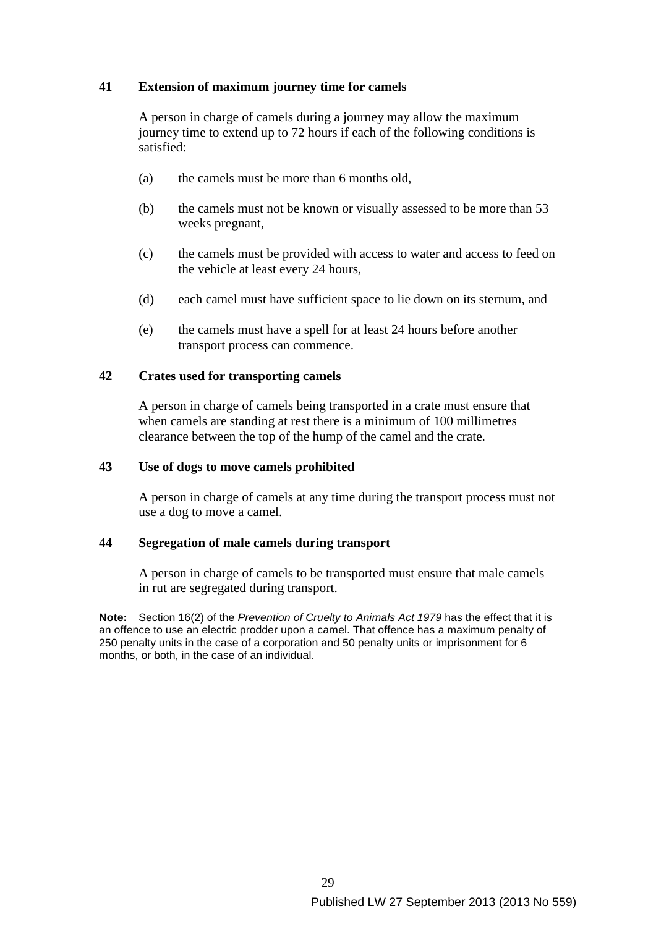### **41 Extension of maximum journey time for camels**

A person in charge of camels during a journey may allow the maximum journey time to extend up to 72 hours if each of the following conditions is satisfied:

- (a) the camels must be more than 6 months old,
- (b) the camels must not be known or visually assessed to be more than 53 weeks pregnant,
- (c) the camels must be provided with access to water and access to feed on the vehicle at least every 24 hours,
- (d) each camel must have sufficient space to lie down on its sternum, and
- (e) the camels must have a spell for at least 24 hours before another transport process can commence.

#### **42 Crates used for transporting camels**

A person in charge of camels being transported in a crate must ensure that when camels are standing at rest there is a minimum of 100 millimetres clearance between the top of the hump of the camel and the crate.

#### **43 Use of dogs to move camels prohibited**

A person in charge of camels at any time during the transport process must not use a dog to move a camel.

#### **44 Segregation of male camels during transport**

A person in charge of camels to be transported must ensure that male camels in rut are segregated during transport.

**Note:** Section 16(2) of the *Prevention of Cruelty to Animals Act 1979* has the effect that it is an offence to use an electric prodder upon a camel. That offence has a maximum penalty of 250 penalty units in the case of a corporation and 50 penalty units or imprisonment for 6 months, or both, in the case of an individual.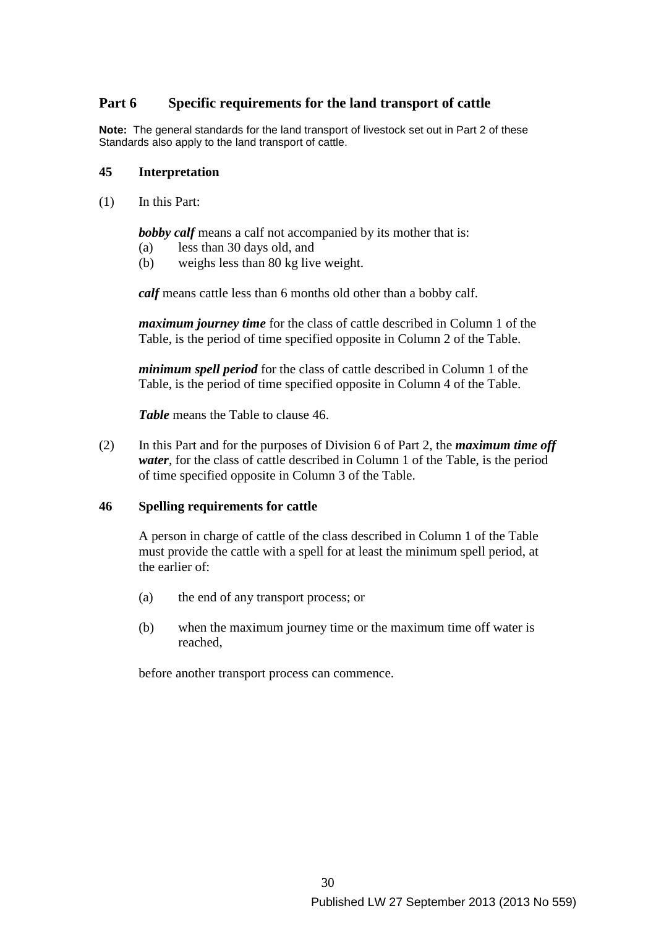# **Part 6 Specific requirements for the land transport of cattle**

**Note:** The general standards for the land transport of livestock set out in Part 2 of these Standards also apply to the land transport of cattle.

#### **45 Interpretation**

(1) In this Part:

**bobby calf** means a calf not accompanied by its mother that is:

- (a) less than 30 days old, and
- (b) weighs less than 80 kg live weight.

*calf* means cattle less than 6 months old other than a bobby calf.

*maximum journey time* for the class of cattle described in Column 1 of the Table, is the period of time specified opposite in Column 2 of the Table.

*minimum spell period* for the class of cattle described in Column 1 of the Table, is the period of time specified opposite in Column 4 of the Table.

*Table* means the Table to clause 46.

(2) In this Part and for the purposes of Division 6 of Part 2, the *maximum time off water*, for the class of cattle described in Column 1 of the Table, is the period of time specified opposite in Column 3 of the Table.

### **46 Spelling requirements for cattle**

A person in charge of cattle of the class described in Column 1 of the Table must provide the cattle with a spell for at least the minimum spell period, at the earlier of:

- (a) the end of any transport process; or
- (b) when the maximum journey time or the maximum time off water is reached,

before another transport process can commence.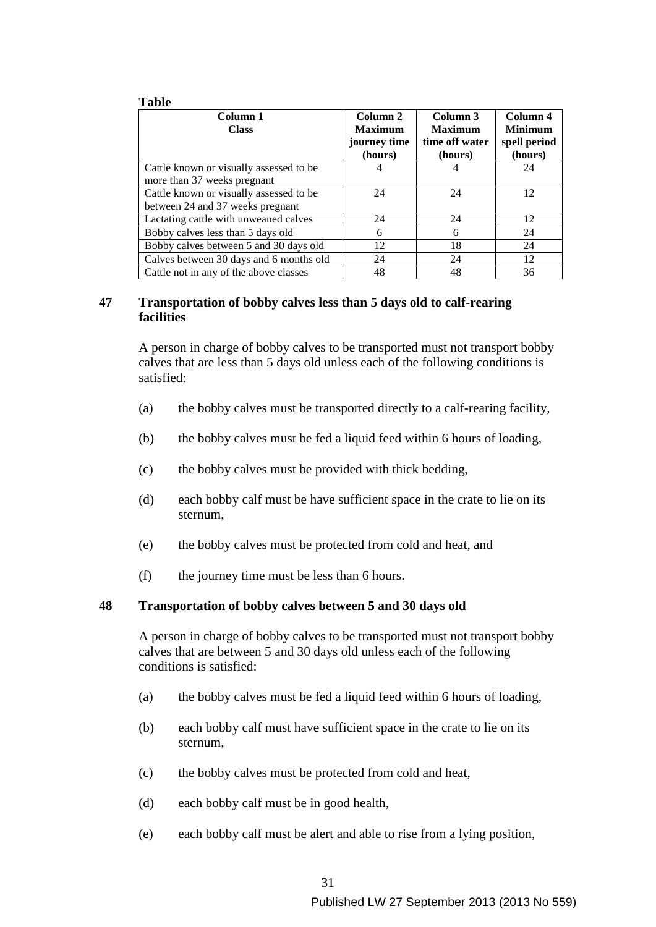#### **Table**

| Column 1<br><b>Class</b>                | Column 2<br><b>Maximum</b> | Column 3<br><b>Maximum</b> | Column 4<br><b>Minimum</b> |
|-----------------------------------------|----------------------------|----------------------------|----------------------------|
|                                         | journey time<br>(hours)    | time off water<br>(hours)  | spell period<br>(hours)    |
| Cattle known or visually assessed to be |                            |                            | 24                         |
| more than 37 weeks pregnant             |                            |                            |                            |
| Cattle known or visually assessed to be | 24                         | 24                         | 12                         |
| between 24 and 37 weeks pregnant        |                            |                            |                            |
| Lactating cattle with unweaned calves   | 24                         | 24                         | 12                         |
| Bobby calves less than 5 days old       | 6                          | 6                          | 24                         |
| Bobby calves between 5 and 30 days old  | 12                         | 18                         | 24                         |
| Calves between 30 days and 6 months old | 24                         | 24                         | 12                         |
| Cattle not in any of the above classes  | 48                         | 48                         | 36                         |

### **47 Transportation of bobby calves less than 5 days old to calf-rearing facilities**

A person in charge of bobby calves to be transported must not transport bobby calves that are less than 5 days old unless each of the following conditions is satisfied:

- (a) the bobby calves must be transported directly to a calf-rearing facility,
- (b) the bobby calves must be fed a liquid feed within 6 hours of loading,
- (c) the bobby calves must be provided with thick bedding,
- (d) each bobby calf must be have sufficient space in the crate to lie on its sternum,
- (e) the bobby calves must be protected from cold and heat, and
- (f) the journey time must be less than 6 hours.

#### **48 Transportation of bobby calves between 5 and 30 days old**

A person in charge of bobby calves to be transported must not transport bobby calves that are between 5 and 30 days old unless each of the following conditions is satisfied:

- (a) the bobby calves must be fed a liquid feed within 6 hours of loading,
- (b) each bobby calf must have sufficient space in the crate to lie on its sternum,
- (c) the bobby calves must be protected from cold and heat,
- (d) each bobby calf must be in good health,
- (e) each bobby calf must be alert and able to rise from a lying position,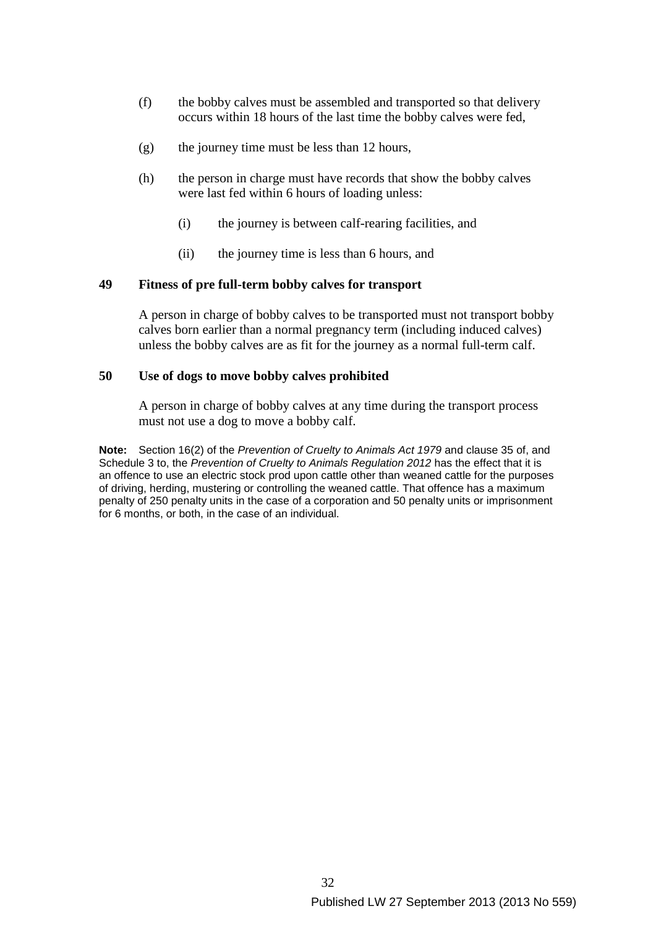- (f) the bobby calves must be assembled and transported so that delivery occurs within 18 hours of the last time the bobby calves were fed,
- (g) the journey time must be less than 12 hours,
- (h) the person in charge must have records that show the bobby calves were last fed within 6 hours of loading unless:
	- (i) the journey is between calf-rearing facilities, and
	- (ii) the journey time is less than 6 hours, and

#### **49 Fitness of pre full-term bobby calves for transport**

A person in charge of bobby calves to be transported must not transport bobby calves born earlier than a normal pregnancy term (including induced calves) unless the bobby calves are as fit for the journey as a normal full-term calf.

#### **50 Use of dogs to move bobby calves prohibited**

A person in charge of bobby calves at any time during the transport process must not use a dog to move a bobby calf.

**Note:** Section 16(2) of the *Prevention of Cruelty to Animals Act 1979* and clause 35 of, and Schedule 3 to, the *Prevention of Cruelty to Animals Regulation 2012* has the effect that it is an offence to use an electric stock prod upon cattle other than weaned cattle for the purposes of driving, herding, mustering or controlling the weaned cattle. That offence has a maximum penalty of 250 penalty units in the case of a corporation and 50 penalty units or imprisonment for 6 months, or both, in the case of an individual.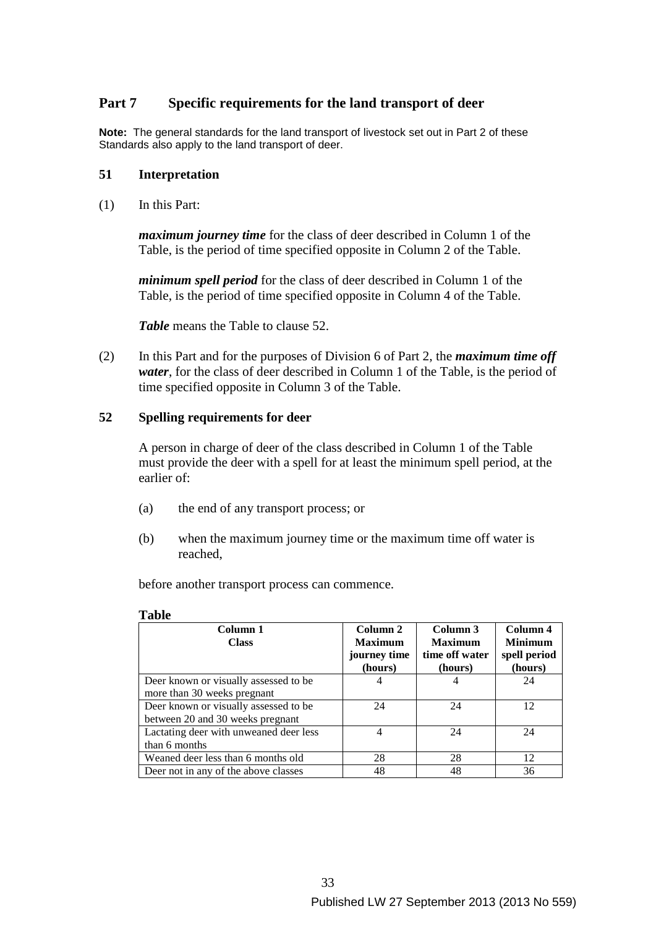# **Part 7 Specific requirements for the land transport of deer**

**Note:** The general standards for the land transport of livestock set out in Part 2 of these Standards also apply to the land transport of deer.

#### **51 Interpretation**

(1) In this Part:

*maximum journey time* for the class of deer described in Column 1 of the Table, is the period of time specified opposite in Column 2 of the Table.

*minimum spell period* for the class of deer described in Column 1 of the Table, is the period of time specified opposite in Column 4 of the Table.

*Table* means the Table to clause 52.

(2) In this Part and for the purposes of Division 6 of Part 2, the *maximum time off water*, for the class of deer described in Column 1 of the Table, is the period of time specified opposite in Column 3 of the Table.

#### **52 Spelling requirements for deer**

A person in charge of deer of the class described in Column 1 of the Table must provide the deer with a spell for at least the minimum spell period, at the earlier of:

- (a) the end of any transport process; or
- (b) when the maximum journey time or the maximum time off water is reached,

before another transport process can commence.

#### **Table**

| Column 1                               | Column 2       | Column 3       | Column 4       |
|----------------------------------------|----------------|----------------|----------------|
| <b>Class</b>                           | <b>Maximum</b> | <b>Maximum</b> | <b>Minimum</b> |
|                                        | journey time   | time off water | spell period   |
|                                        | (hours)        | (hours)        | (hours)        |
| Deer known or visually assessed to be  | 4              |                | 24             |
| more than 30 weeks pregnant            |                |                |                |
| Deer known or visually assessed to be  | 24             | 24             | 12             |
| between 20 and 30 weeks pregnant       |                |                |                |
| Lactating deer with unweaned deer less | 4              | 24             | 24             |
| than 6 months                          |                |                |                |
| Weaned deer less than 6 months old     | 28             | 28             | 12             |
| Deer not in any of the above classes   | 48             | 48             | 36             |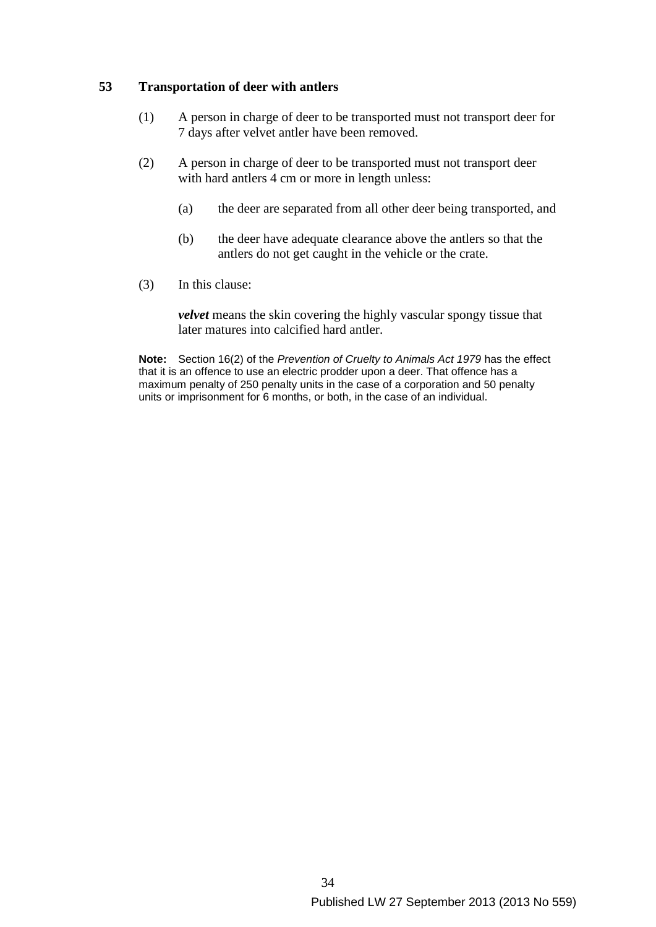### **53 Transportation of deer with antlers**

- (1) A person in charge of deer to be transported must not transport deer for 7 days after velvet antler have been removed.
- (2) A person in charge of deer to be transported must not transport deer with hard antlers 4 cm or more in length unless:
	- (a) the deer are separated from all other deer being transported, and
	- (b) the deer have adequate clearance above the antlers so that the antlers do not get caught in the vehicle or the crate.
- (3) In this clause:

*velvet* means the skin covering the highly vascular spongy tissue that later matures into calcified hard antler.

**Note:** Section 16(2) of the *Prevention of Cruelty to Animals Act 1979* has the effect that it is an offence to use an electric prodder upon a deer. That offence has a maximum penalty of 250 penalty units in the case of a corporation and 50 penalty units or imprisonment for 6 months, or both, in the case of an individual.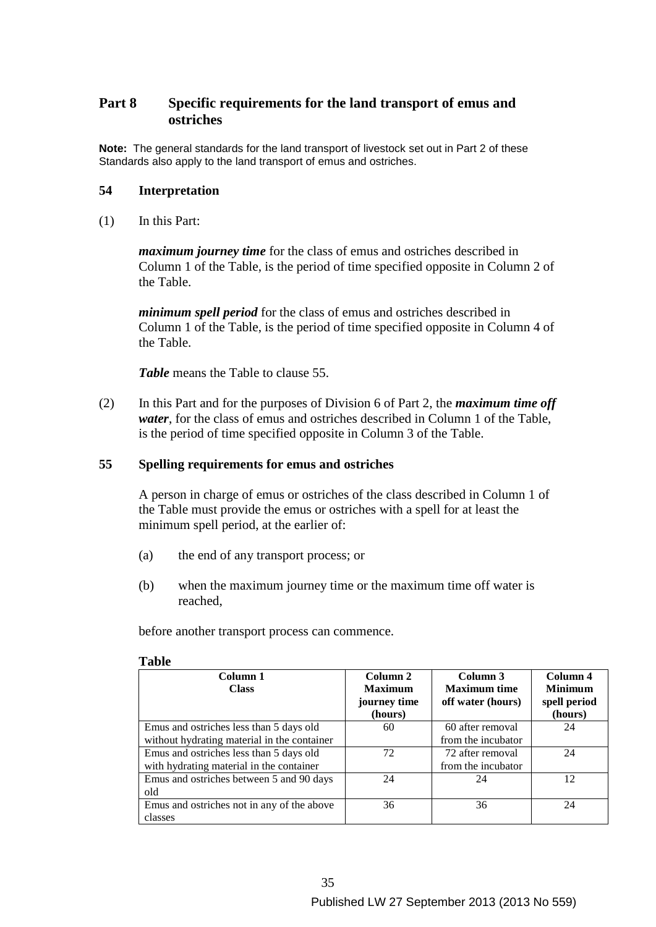# **Part 8 Specific requirements for the land transport of emus and ostriches**

**Note:** The general standards for the land transport of livestock set out in Part 2 of these Standards also apply to the land transport of emus and ostriches.

#### **54 Interpretation**

(1) In this Part:

*maximum journey time* for the class of emus and ostriches described in Column 1 of the Table, is the period of time specified opposite in Column 2 of the Table.

*minimum spell period* for the class of emus and ostriches described in Column 1 of the Table, is the period of time specified opposite in Column 4 of the Table.

*Table* means the Table to clause 55.

(2) In this Part and for the purposes of Division 6 of Part 2, the *maximum time off water*, for the class of emus and ostriches described in Column 1 of the Table, is the period of time specified opposite in Column 3 of the Table.

#### **55 Spelling requirements for emus and ostriches**

A person in charge of emus or ostriches of the class described in Column 1 of the Table must provide the emus or ostriches with a spell for at least the minimum spell period, at the earlier of:

- (a) the end of any transport process; or
- (b) when the maximum journey time or the maximum time off water is reached,

before another transport process can commence.

| Column 1<br><b>Class</b>                    | Column 2<br><b>Maximum</b><br>journey time<br>(hours) | Column 3<br><b>Maximum time</b><br>off water (hours) | Column 4<br><b>Minimum</b><br>spell period<br>(hours) |
|---------------------------------------------|-------------------------------------------------------|------------------------------------------------------|-------------------------------------------------------|
| Emus and ostriches less than 5 days old     | 60                                                    | 60 after removal                                     | 24                                                    |
| without hydrating material in the container |                                                       | from the incubator                                   |                                                       |
| Emus and ostriches less than 5 days old     | 72                                                    | 72 after removal                                     | 24                                                    |
| with hydrating material in the container    |                                                       | from the incubator                                   |                                                       |
| Emus and ostriches between 5 and 90 days    | 24                                                    | 24                                                   | 12                                                    |
| old                                         |                                                       |                                                      |                                                       |
| Emus and ostriches not in any of the above  | 36                                                    | 36                                                   | 24                                                    |
| classes                                     |                                                       |                                                      |                                                       |

#### **Table**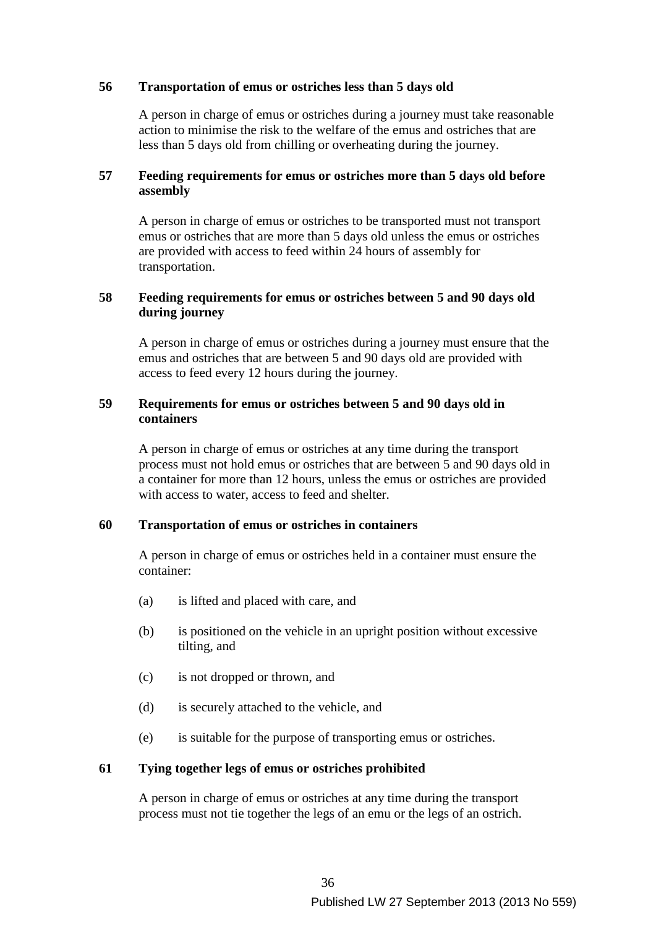### **56 Transportation of emus or ostriches less than 5 days old**

A person in charge of emus or ostriches during a journey must take reasonable action to minimise the risk to the welfare of the emus and ostriches that are less than 5 days old from chilling or overheating during the journey.

### **57 Feeding requirements for emus or ostriches more than 5 days old before assembly**

A person in charge of emus or ostriches to be transported must not transport emus or ostriches that are more than 5 days old unless the emus or ostriches are provided with access to feed within 24 hours of assembly for transportation.

### **58 Feeding requirements for emus or ostriches between 5 and 90 days old during journey**

A person in charge of emus or ostriches during a journey must ensure that the emus and ostriches that are between 5 and 90 days old are provided with access to feed every 12 hours during the journey.

### **59 Requirements for emus or ostriches between 5 and 90 days old in containers**

A person in charge of emus or ostriches at any time during the transport process must not hold emus or ostriches that are between 5 and 90 days old in a container for more than 12 hours, unless the emus or ostriches are provided with access to water, access to feed and shelter.

### **60 Transportation of emus or ostriches in containers**

A person in charge of emus or ostriches held in a container must ensure the container:

- (a) is lifted and placed with care, and
- (b) is positioned on the vehicle in an upright position without excessive tilting, and
- (c) is not dropped or thrown, and
- (d) is securely attached to the vehicle, and
- (e) is suitable for the purpose of transporting emus or ostriches.

### **61 Tying together legs of emus or ostriches prohibited**

A person in charge of emus or ostriches at any time during the transport process must not tie together the legs of an emu or the legs of an ostrich.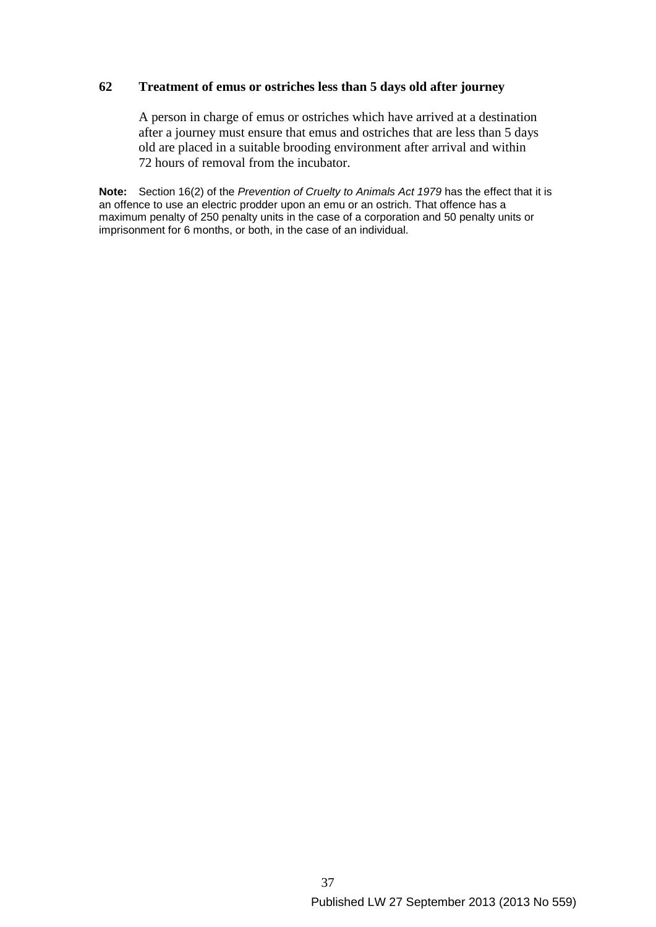### **62 Treatment of emus or ostriches less than 5 days old after journey**

A person in charge of emus or ostriches which have arrived at a destination after a journey must ensure that emus and ostriches that are less than 5 days old are placed in a suitable brooding environment after arrival and within 72 hours of removal from the incubator.

**Note:** Section 16(2) of the *Prevention of Cruelty to Animals Act 1979* has the effect that it is an offence to use an electric prodder upon an emu or an ostrich. That offence has a maximum penalty of 250 penalty units in the case of a corporation and 50 penalty units or imprisonment for 6 months, or both, in the case of an individual.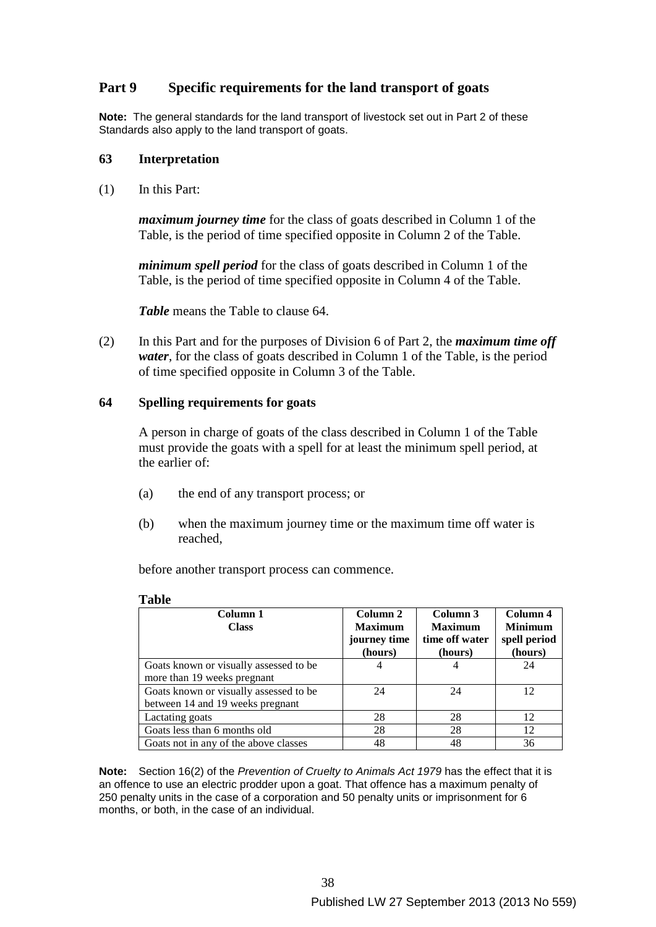# **Part 9 Specific requirements for the land transport of goats**

**Note:** The general standards for the land transport of livestock set out in Part 2 of these Standards also apply to the land transport of goats.

#### **63 Interpretation**

(1) In this Part:

**Table** 

*maximum journey time* for the class of goats described in Column 1 of the Table, is the period of time specified opposite in Column 2 of the Table.

*minimum spell period* for the class of goats described in Column 1 of the Table, is the period of time specified opposite in Column 4 of the Table.

*Table* means the Table to clause 64.

(2) In this Part and for the purposes of Division 6 of Part 2, the *maximum time off water*, for the class of goats described in Column 1 of the Table, is the period of time specified opposite in Column 3 of the Table.

#### **64 Spelling requirements for goats**

A person in charge of goats of the class described in Column 1 of the Table must provide the goats with a spell for at least the minimum spell period, at the earlier of:

- (a) the end of any transport process; or
- (b) when the maximum journey time or the maximum time off water is reached,

before another transport process can commence.

| Column 1                               | Column 2       | Column 3       | Column 4       |
|----------------------------------------|----------------|----------------|----------------|
| <b>Class</b>                           | <b>Maximum</b> | <b>Maximum</b> | <b>Minimum</b> |
|                                        | journey time   | time off water | spell period   |
|                                        | (hours)        | (hours)        | (hours)        |
| Goats known or visually assessed to be | 4              |                | 24             |
| more than 19 weeks pregnant            |                |                |                |
| Goats known or visually assessed to be | 24             | 24             | 12             |
| between 14 and 19 weeks pregnant       |                |                |                |
| Lactating goats                        | 28             | 28             | 12             |
| Goats less than 6 months old           | 28             | 28             | 12             |
| Goats not in any of the above classes  | 48             | 48             | 36             |

**Note:** Section 16(2) of the *Prevention of Cruelty to Animals Act 1979* has the effect that it is an offence to use an electric prodder upon a goat. That offence has a maximum penalty of 250 penalty units in the case of a corporation and 50 penalty units or imprisonment for 6 months, or both, in the case of an individual.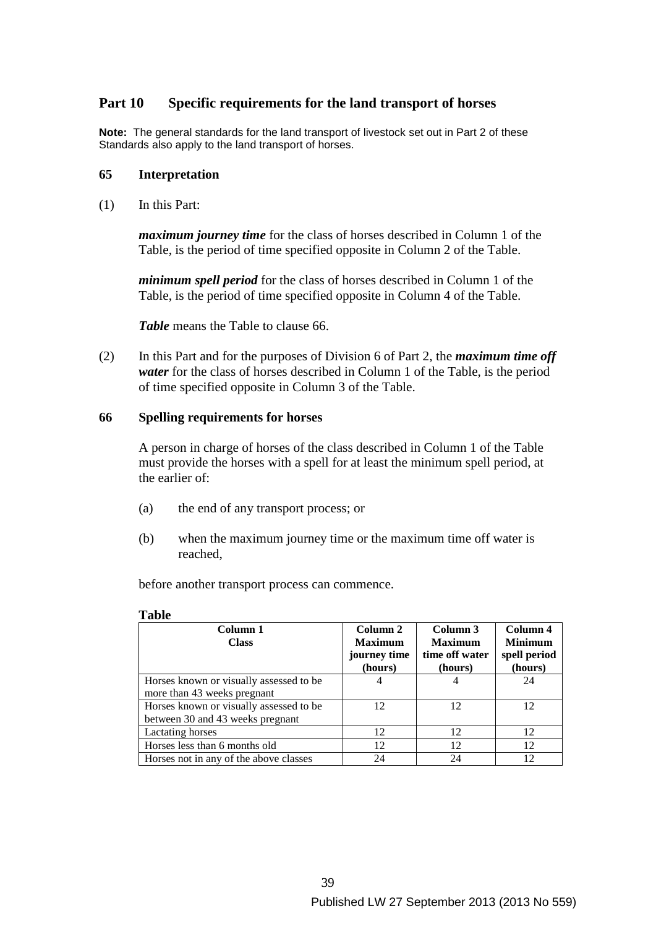# **Part 10 Specific requirements for the land transport of horses**

**Note:** The general standards for the land transport of livestock set out in Part 2 of these Standards also apply to the land transport of horses.

#### **65 Interpretation**

(1) In this Part:

*maximum journey time* for the class of horses described in Column 1 of the Table, is the period of time specified opposite in Column 2 of the Table.

*minimum spell period* for the class of horses described in Column 1 of the Table, is the period of time specified opposite in Column 4 of the Table.

*Table* means the Table to clause 66.

(2) In this Part and for the purposes of Division 6 of Part 2, the *maximum time off water* for the class of horses described in Column 1 of the Table, is the period of time specified opposite in Column 3 of the Table.

#### **66 Spelling requirements for horses**

A person in charge of horses of the class described in Column 1 of the Table must provide the horses with a spell for at least the minimum spell period, at the earlier of:

- (a) the end of any transport process; or
- (b) when the maximum journey time or the maximum time off water is reached,

before another transport process can commence.

#### **Table**

| Column 1                                | Column 2       | Column 3       | Column 4       |
|-----------------------------------------|----------------|----------------|----------------|
| <b>Class</b>                            | <b>Maximum</b> | <b>Maximum</b> | <b>Minimum</b> |
|                                         | journey time   | time off water | spell period   |
|                                         | (hours)        | (hours)        | (hours)        |
| Horses known or visually assessed to be | 4              |                | 24             |
| more than 43 weeks pregnant             |                |                |                |
| Horses known or visually assessed to be | 12             | 12             | 12.            |
| between 30 and 43 weeks pregnant        |                |                |                |
| Lactating horses                        | 12             | 12             | 12             |
| Horses less than 6 months old           | 12             | 12             | 12             |
| Horses not in any of the above classes  | 24             | 24             | 12             |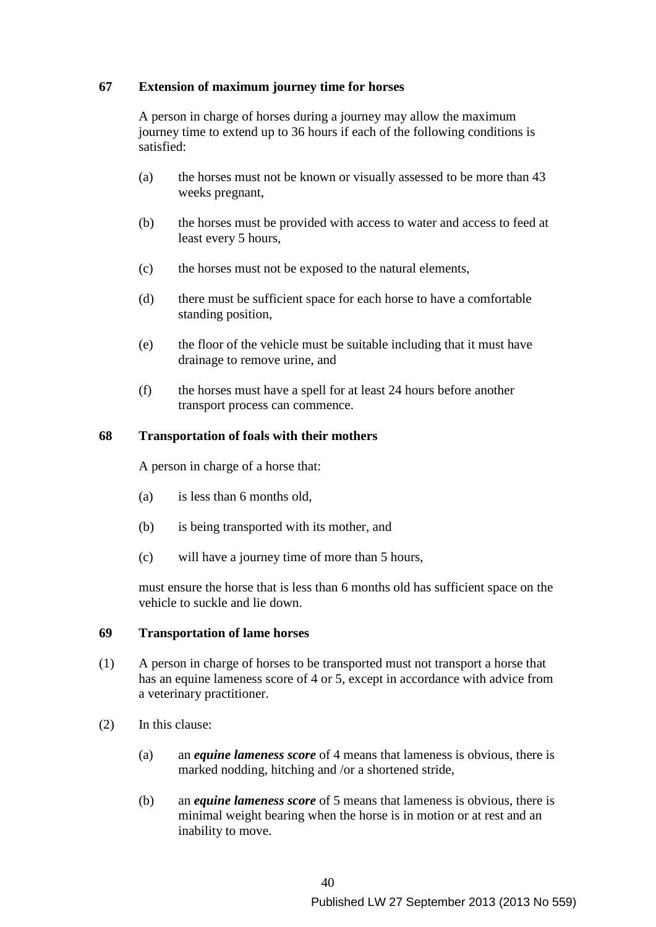### **67 Extension of maximum journey time for horses**

A person in charge of horses during a journey may allow the maximum journey time to extend up to 36 hours if each of the following conditions is satisfied:

- (a) the horses must not be known or visually assessed to be more than 43 weeks pregnant,
- (b) the horses must be provided with access to water and access to feed at least every 5 hours,
- (c) the horses must not be exposed to the natural elements,
- (d) there must be sufficient space for each horse to have a comfortable standing position,
- (e) the floor of the vehicle must be suitable including that it must have drainage to remove urine, and
- (f) the horses must have a spell for at least 24 hours before another transport process can commence.

### **68 Transportation of foals with their mothers**

A person in charge of a horse that:

- (a) is less than 6 months old,
- (b) is being transported with its mother, and
- (c) will have a journey time of more than 5 hours,

must ensure the horse that is less than 6 months old has sufficient space on the vehicle to suckle and lie down.

### **69 Transportation of lame horses**

- (1) A person in charge of horses to be transported must not transport a horse that has an equine lameness score of 4 or 5, except in accordance with advice from a veterinary practitioner.
- (2) In this clause:
	- (a) an *equine lameness score* of 4 means that lameness is obvious, there is marked nodding, hitching and /or a shortened stride,
	- (b) an *equine lameness score* of 5 means that lameness is obvious, there is minimal weight bearing when the horse is in motion or at rest and an inability to move.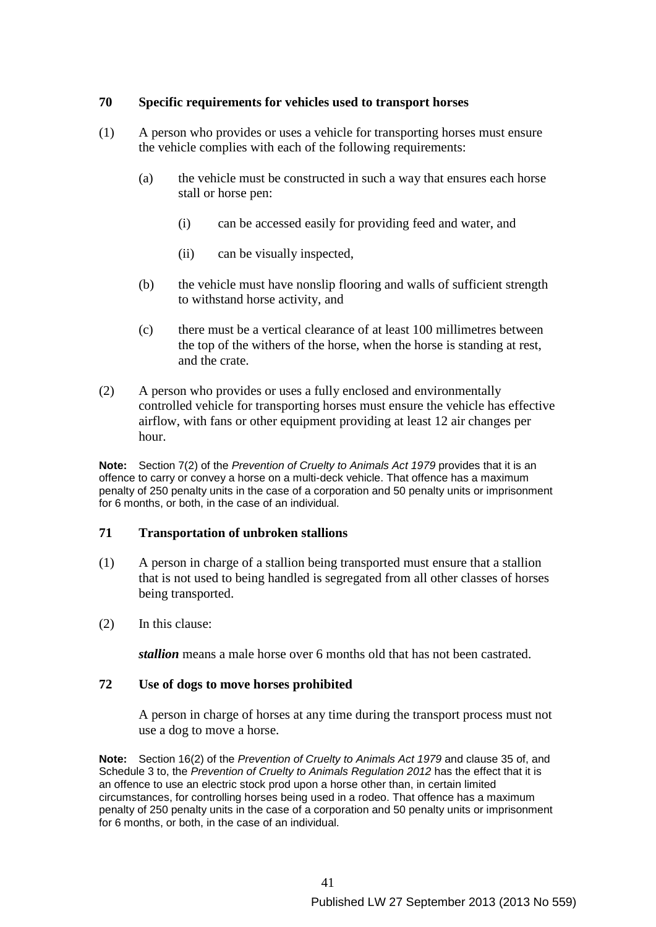### **70 Specific requirements for vehicles used to transport horses**

- (1) A person who provides or uses a vehicle for transporting horses must ensure the vehicle complies with each of the following requirements:
	- (a) the vehicle must be constructed in such a way that ensures each horse stall or horse pen:
		- (i) can be accessed easily for providing feed and water, and
		- (ii) can be visually inspected,
	- (b) the vehicle must have nonslip flooring and walls of sufficient strength to withstand horse activity, and
	- (c) there must be a vertical clearance of at least 100 millimetres between the top of the withers of the horse, when the horse is standing at rest, and the crate.
- (2) A person who provides or uses a fully enclosed and environmentally controlled vehicle for transporting horses must ensure the vehicle has effective airflow, with fans or other equipment providing at least 12 air changes per hour.

**Note:** Section 7(2) of the *Prevention of Cruelty to Animals Act 1979* provides that it is an offence to carry or convey a horse on a multi-deck vehicle. That offence has a maximum penalty of 250 penalty units in the case of a corporation and 50 penalty units or imprisonment for 6 months, or both, in the case of an individual.

### **71 Transportation of unbroken stallions**

- (1) A person in charge of a stallion being transported must ensure that a stallion that is not used to being handled is segregated from all other classes of horses being transported.
- (2) In this clause:

*stallion* means a male horse over 6 months old that has not been castrated.

### **72 Use of dogs to move horses prohibited**

A person in charge of horses at any time during the transport process must not use a dog to move a horse.

**Note:** Section 16(2) of the *Prevention of Cruelty to Animals Act 1979* and clause 35 of, and Schedule 3 to, the *Prevention of Cruelty to Animals Regulation 2012* has the effect that it is an offence to use an electric stock prod upon a horse other than, in certain limited circumstances, for controlling horses being used in a rodeo. That offence has a maximum penalty of 250 penalty units in the case of a corporation and 50 penalty units or imprisonment for 6 months, or both, in the case of an individual.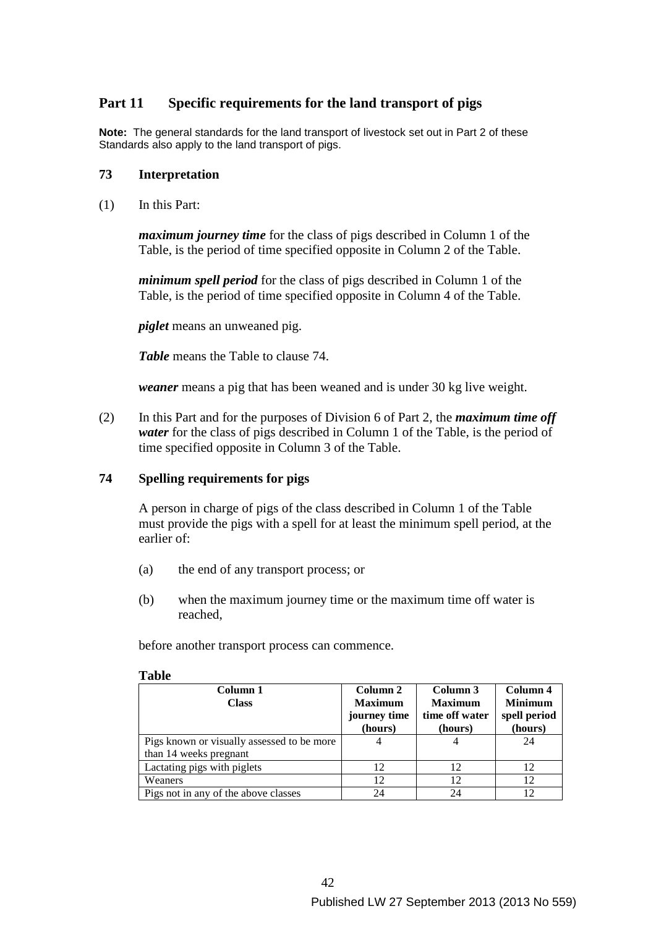# **Part 11 Specific requirements for the land transport of pigs**

**Note:** The general standards for the land transport of livestock set out in Part 2 of these Standards also apply to the land transport of pigs.

### **73 Interpretation**

(1) In this Part:

*maximum journey time* for the class of pigs described in Column 1 of the Table, is the period of time specified opposite in Column 2 of the Table.

*minimum spell period* for the class of pigs described in Column 1 of the Table, is the period of time specified opposite in Column 4 of the Table.

*piglet* means an unweaned pig.

*Table* means the Table to clause 74.

*weaner* means a pig that has been weaned and is under 30 kg live weight.

(2) In this Part and for the purposes of Division 6 of Part 2, the *maximum time off water* for the class of pigs described in Column 1 of the Table, is the period of time specified opposite in Column 3 of the Table.

# **74 Spelling requirements for pigs**

A person in charge of pigs of the class described in Column 1 of the Table must provide the pigs with a spell for at least the minimum spell period, at the earlier of:

- (a) the end of any transport process; or
- (b) when the maximum journey time or the maximum time off water is reached,

before another transport process can commence.

| Column 1<br><b>Class</b>                                             | Column 2<br><b>Maximum</b><br>journey time<br>(hours) | Column 3<br><b>Maximum</b><br>time off water<br>(hours) | Column 4<br><b>Minimum</b><br>spell period<br>(hours) |
|----------------------------------------------------------------------|-------------------------------------------------------|---------------------------------------------------------|-------------------------------------------------------|
| Pigs known or visually assessed to be more<br>than 14 weeks pregnant |                                                       |                                                         | 24                                                    |
|                                                                      |                                                       |                                                         |                                                       |
| Lactating pigs with piglets                                          | 12                                                    | 12                                                      | 12                                                    |
| Weaners                                                              | 12                                                    | 12                                                      | 12                                                    |
| Pigs not in any of the above classes                                 | 24                                                    | 24                                                      | 12                                                    |

#### **Table**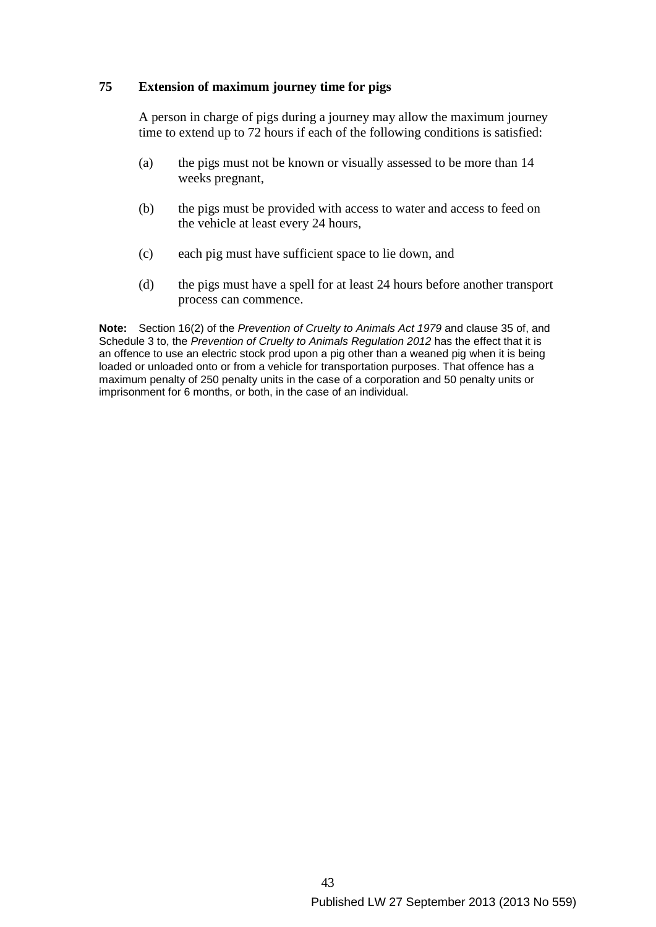# **75 Extension of maximum journey time for pigs**

A person in charge of pigs during a journey may allow the maximum journey time to extend up to 72 hours if each of the following conditions is satisfied:

- (a) the pigs must not be known or visually assessed to be more than 14 weeks pregnant,
- (b) the pigs must be provided with access to water and access to feed on the vehicle at least every 24 hours,
- (c) each pig must have sufficient space to lie down, and
- (d) the pigs must have a spell for at least 24 hours before another transport process can commence.

**Note:** Section 16(2) of the *Prevention of Cruelty to Animals Act 1979* and clause 35 of, and Schedule 3 to, the *Prevention of Cruelty to Animals Regulation 2012* has the effect that it is an offence to use an electric stock prod upon a pig other than a weaned pig when it is being loaded or unloaded onto or from a vehicle for transportation purposes. That offence has a maximum penalty of 250 penalty units in the case of a corporation and 50 penalty units or imprisonment for 6 months, or both, in the case of an individual.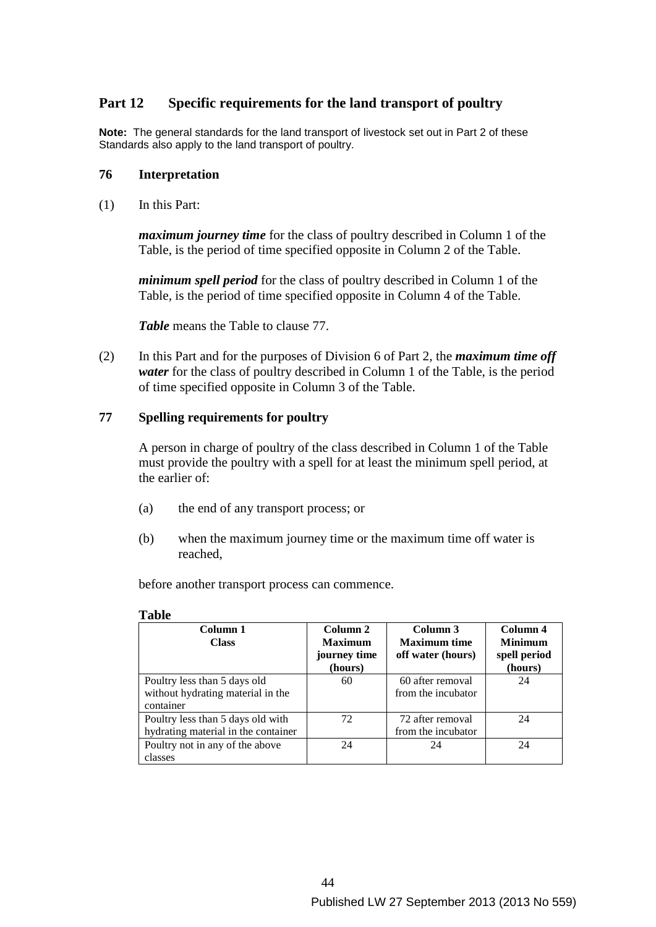# **Part 12 Specific requirements for the land transport of poultry**

**Note:** The general standards for the land transport of livestock set out in Part 2 of these Standards also apply to the land transport of poultry.

#### **76 Interpretation**

(1) In this Part:

*maximum journey time* for the class of poultry described in Column 1 of the Table, is the period of time specified opposite in Column 2 of the Table.

*minimum spell period* for the class of poultry described in Column 1 of the Table, is the period of time specified opposite in Column 4 of the Table.

*Table* means the Table to clause 77.

(2) In this Part and for the purposes of Division 6 of Part 2, the *maximum time off water* for the class of poultry described in Column 1 of the Table, is the period of time specified opposite in Column 3 of the Table.

### **77 Spelling requirements for poultry**

A person in charge of poultry of the class described in Column 1 of the Table must provide the poultry with a spell for at least the minimum spell period, at the earlier of:

- (a) the end of any transport process; or
- (b) when the maximum journey time or the maximum time off water is reached,

before another transport process can commence.

| Column 1<br><b>Class</b>            | Column 2<br><b>Maximum</b><br>journey time | Column 3<br><b>Maximum time</b><br>off water (hours) | Column 4<br><b>Minimum</b><br>spell period |
|-------------------------------------|--------------------------------------------|------------------------------------------------------|--------------------------------------------|
|                                     | (hours)                                    |                                                      | (hours)                                    |
| Poultry less than 5 days old        | 60                                         | 60 after removal                                     | 24                                         |
| without hydrating material in the   |                                            | from the incubator                                   |                                            |
| container                           |                                            |                                                      |                                            |
| Poultry less than 5 days old with   | 72                                         | 72 after removal                                     | 24                                         |
| hydrating material in the container |                                            | from the incubator                                   |                                            |
| Poultry not in any of the above     | 24                                         | 24                                                   | 24                                         |
| classes                             |                                            |                                                      |                                            |

#### **Table**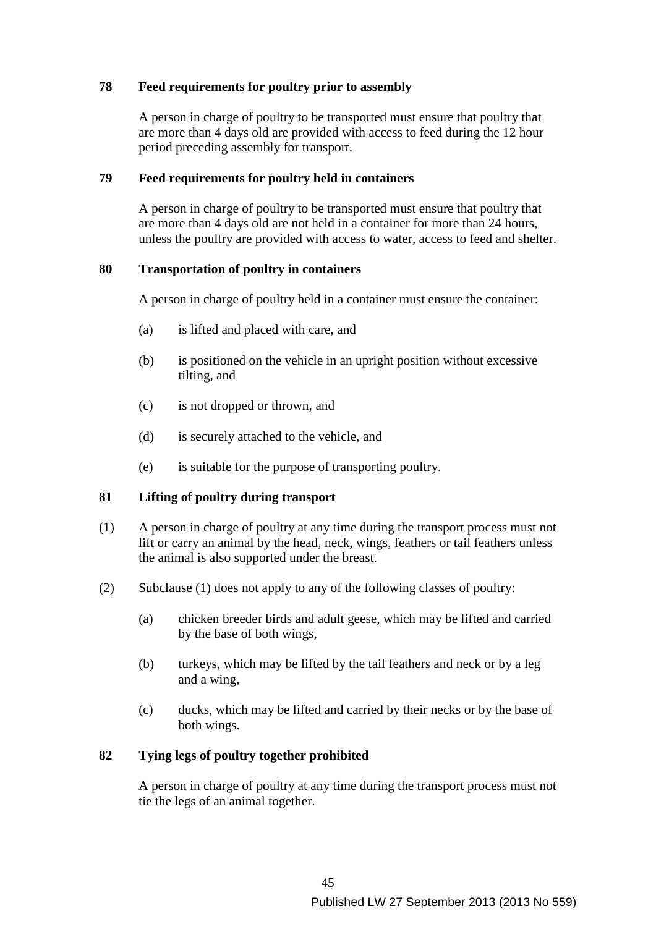### **78 Feed requirements for poultry prior to assembly**

A person in charge of poultry to be transported must ensure that poultry that are more than 4 days old are provided with access to feed during the 12 hour period preceding assembly for transport.

### **79 Feed requirements for poultry held in containers**

A person in charge of poultry to be transported must ensure that poultry that are more than 4 days old are not held in a container for more than 24 hours, unless the poultry are provided with access to water, access to feed and shelter.

### **80 Transportation of poultry in containers**

A person in charge of poultry held in a container must ensure the container:

- (a) is lifted and placed with care, and
- (b) is positioned on the vehicle in an upright position without excessive tilting, and
- (c) is not dropped or thrown, and
- (d) is securely attached to the vehicle, and
- (e) is suitable for the purpose of transporting poultry.

# **81 Lifting of poultry during transport**

- (1) A person in charge of poultry at any time during the transport process must not lift or carry an animal by the head, neck, wings, feathers or tail feathers unless the animal is also supported under the breast.
- (2) Subclause (1) does not apply to any of the following classes of poultry:
	- (a) chicken breeder birds and adult geese, which may be lifted and carried by the base of both wings,
	- (b) turkeys, which may be lifted by the tail feathers and neck or by a leg and a wing,
	- (c) ducks, which may be lifted and carried by their necks or by the base of both wings.

# **82 Tying legs of poultry together prohibited**

A person in charge of poultry at any time during the transport process must not tie the legs of an animal together.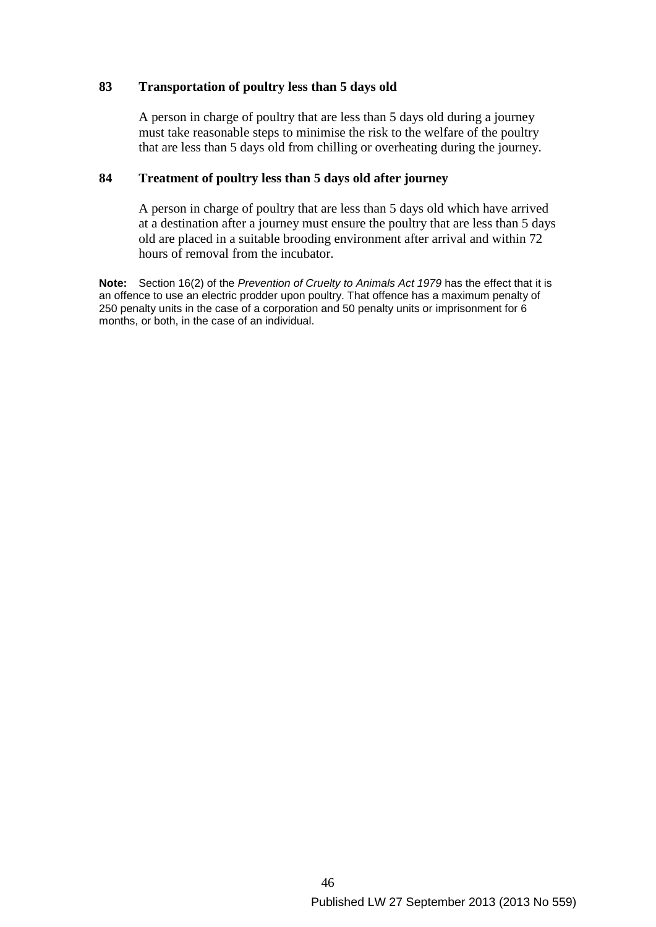### **83 Transportation of poultry less than 5 days old**

A person in charge of poultry that are less than 5 days old during a journey must take reasonable steps to minimise the risk to the welfare of the poultry that are less than 5 days old from chilling or overheating during the journey.

### **84 Treatment of poultry less than 5 days old after journey**

A person in charge of poultry that are less than 5 days old which have arrived at a destination after a journey must ensure the poultry that are less than 5 days old are placed in a suitable brooding environment after arrival and within 72 hours of removal from the incubator.

**Note:** Section 16(2) of the *Prevention of Cruelty to Animals Act 1979* has the effect that it is an offence to use an electric prodder upon poultry. That offence has a maximum penalty of 250 penalty units in the case of a corporation and 50 penalty units or imprisonment for 6 months, or both, in the case of an individual.